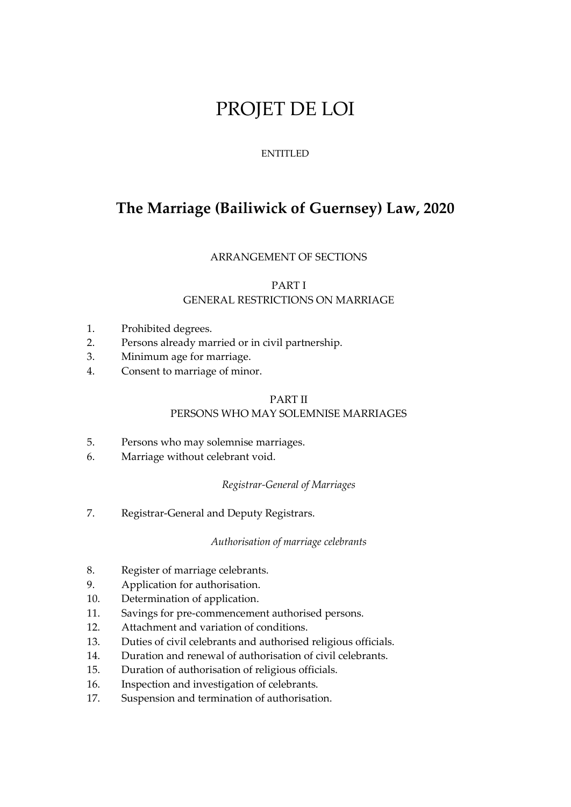# PROJET DE LOI

## ENTITLED

# **The Marriage (Bailiwick of Guernsey) Law, 2020**

## ARRANGEMENT OF SECTIONS

## PART I GENERAL RESTRICTIONS ON MARRIAGE

- 1. Prohibited degrees.
- 2. Persons already married or in civil partnership.
- 3. Minimum age for marriage.
- 4. Consent to marriage of minor.

### PART II PERSONS WHO MAY SOLEMNISE MARRIAGES

- 5. Persons who may solemnise marriages.
- 6. Marriage without celebrant void.

## *Registrar-General of Marriages*

7. Registrar-General and Deputy Registrars.

#### *Authorisation of marriage celebrants*

- 8. Register of marriage celebrants.
- 9. Application for authorisation.
- 10. Determination of application.
- 11. Savings for pre-commencement authorised persons.
- 12. Attachment and variation of conditions.
- 13. Duties of civil celebrants and authorised religious officials.
- 14. Duration and renewal of authorisation of civil celebrants.
- 15. Duration of authorisation of religious officials.
- 16. Inspection and investigation of celebrants.
- 17. Suspension and termination of authorisation.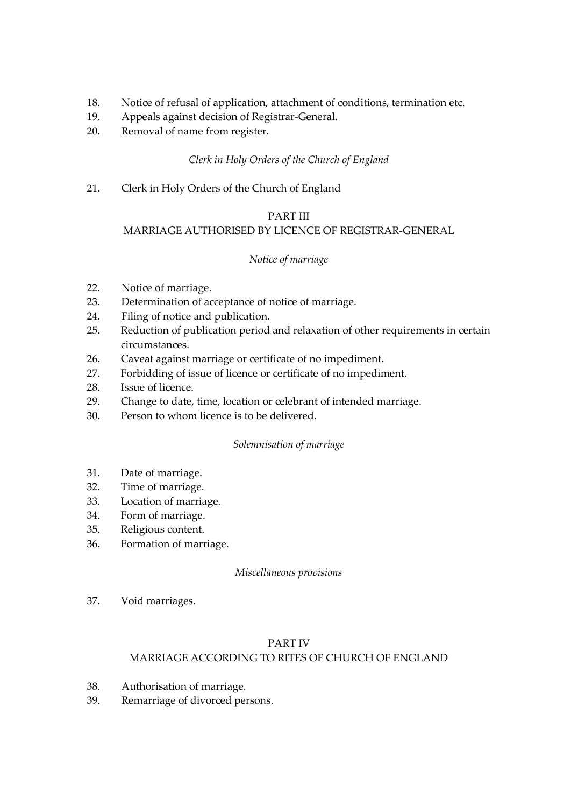- 18. Notice of refusal of application, attachment of conditions, termination etc.
- 19. Appeals against decision of Registrar-General.
- 20. Removal of name from register.

## *Clerk in Holy Orders of the Church of England*

21. Clerk in Holy Orders of the Church of England

## PART III

## MARRIAGE AUTHORISED BY LICENCE OF REGISTRAR-GENERAL

## *Notice of marriage*

- 22. Notice of marriage.
- 23. Determination of acceptance of notice of marriage.
- 24. Filing of notice and publication.
- 25. Reduction of publication period and relaxation of other requirements in certain circumstances.
- 26. Caveat against marriage or certificate of no impediment.
- 27. Forbidding of issue of licence or certificate of no impediment.
- 28. Issue of licence.
- 29. Change to date, time, location or celebrant of intended marriage.
- 30. Person to whom licence is to be delivered.

## *Solemnisation of marriage*

- 31. Date of marriage.
- 32. Time of marriage.
- 33. Location of marriage.
- 34. Form of marriage.
- 35. Religious content.
- 36. Formation of marriage.

## *Miscellaneous provisions*

37. Void marriages.

## PART IV MARRIAGE ACCORDING TO RITES OF CHURCH OF ENGLAND

- 38. Authorisation of marriage.
- 39. Remarriage of divorced persons.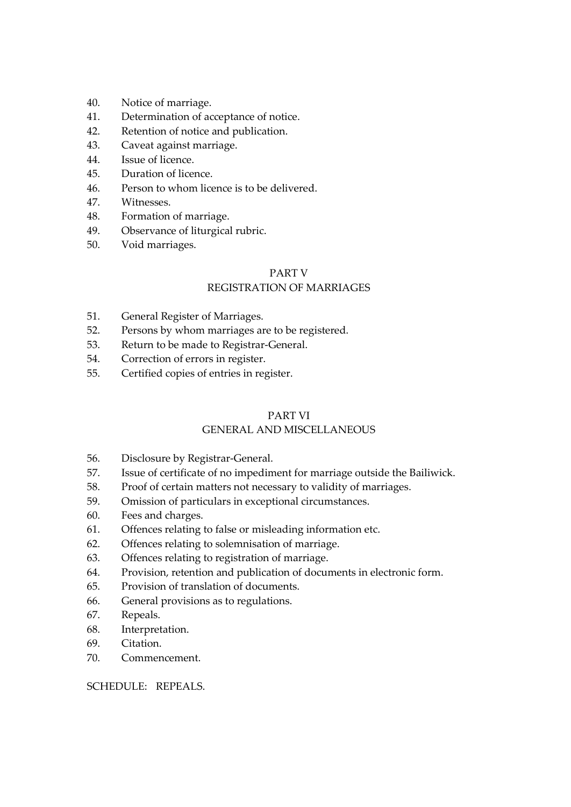- 40. Notice of marriage.
- 41. Determination of acceptance of notice.
- 42. Retention of notice and publication.
- 43. Caveat against marriage.
- 44. Issue of licence.
- 45. Duration of licence.
- 46. Person to whom licence is to be delivered.
- 47. Witnesses.
- 48. Formation of marriage.
- 49. Observance of liturgical rubric.
- 50. Void marriages.

## PART V

## REGISTRATION OF MARRIAGES

- 51. General Register of Marriages.
- 52. Persons by whom marriages are to be registered.
- 53. Return to be made to Registrar-General.
- 54. Correction of errors in register.
- 55. Certified copies of entries in register.

## PART VI

## GENERAL AND MISCELLANEOUS

- 56. Disclosure by Registrar-General.
- 57. Issue of certificate of no impediment for marriage outside the Bailiwick.
- 58. Proof of certain matters not necessary to validity of marriages.
- 59. Omission of particulars in exceptional circumstances.
- 60. Fees and charges.
- 61. Offences relating to false or misleading information etc.
- 62. Offences relating to solemnisation of marriage.
- 63. Offences relating to registration of marriage.
- 64. Provision, retention and publication of documents in electronic form.
- 65. Provision of translation of documents.
- 66. General provisions as to regulations.
- 67. Repeals.
- 68. Interpretation.
- 69. Citation.
- 70. Commencement.

## SCHEDULE: REPEALS.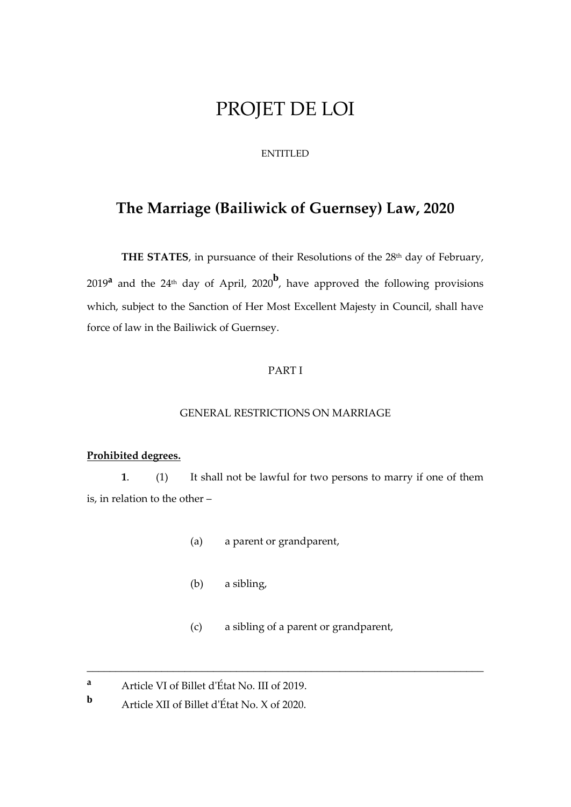# PROJET DE LOI

### ENTITLED

## **The Marriage (Bailiwick of Guernsey) Law, 2020**

**THE STATES**, in pursuance of their Resolutions of the 28<sup>th</sup> day of February, 2019**<sup>a</sup>** and the 24th day of April, 2020**<sup>b</sup>** , have approved the following provisions which, subject to the Sanction of Her Most Excellent Majesty in Council, shall have force of law in the Bailiwick of Guernsey.

### PART I

#### GENERAL RESTRICTIONS ON MARRIAGE

## **Prohibited degrees.**

**1**. (1) It shall not be lawful for two persons to marry if one of them is, in relation to the other –

- (a) a parent or grandparent,
- (b) a sibling,
- (c) a sibling of a parent or grandparent,

\_\_\_\_\_\_\_\_\_\_\_\_\_\_\_\_\_\_\_\_\_\_\_\_\_\_\_\_\_\_\_\_\_\_\_\_\_\_\_\_\_\_\_\_\_\_\_\_\_\_\_\_\_\_\_\_\_\_\_\_\_\_\_\_\_\_\_\_\_

**<sup>a</sup>** Article VI of Billet d'État No. III of 2019.

**b** Article XII of Billet d'État No. X of 2020.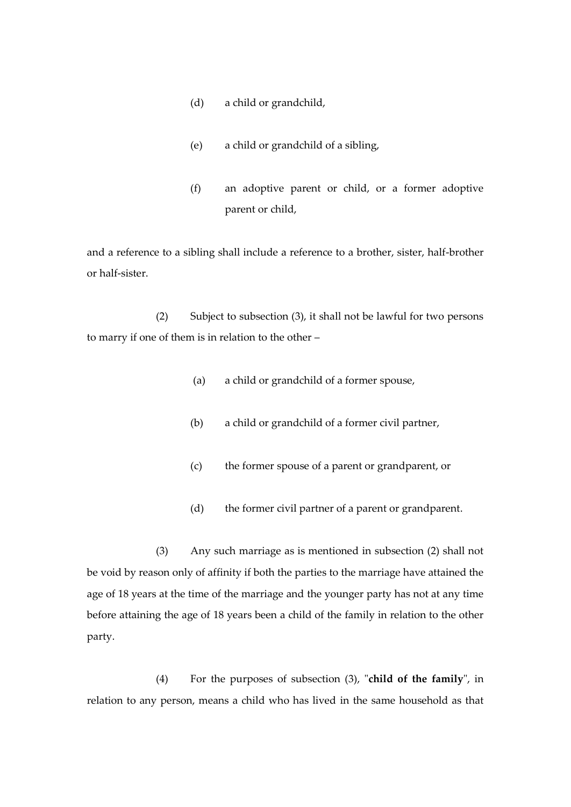- (d) a child or grandchild,
- (e) a child or grandchild of a sibling,
- (f) an adoptive parent or child, or a former adoptive parent or child,

and a reference to a sibling shall include a reference to a brother, sister, half-brother or half-sister.

(2) Subject to subsection (3), it shall not be lawful for two persons to marry if one of them is in relation to the other –

- (a) a child or grandchild of a former spouse,
- (b) a child or grandchild of a former civil partner,
- (c) the former spouse of a parent or grandparent, or
- (d) the former civil partner of a parent or grandparent.

(3) Any such marriage as is mentioned in subsection (2) shall not be void by reason only of affinity if both the parties to the marriage have attained the age of 18 years at the time of the marriage and the younger party has not at any time before attaining the age of 18 years been a child of the family in relation to the other party.

(4) For the purposes of subsection (3), "**child of the family**", in relation to any person, means a child who has lived in the same household as that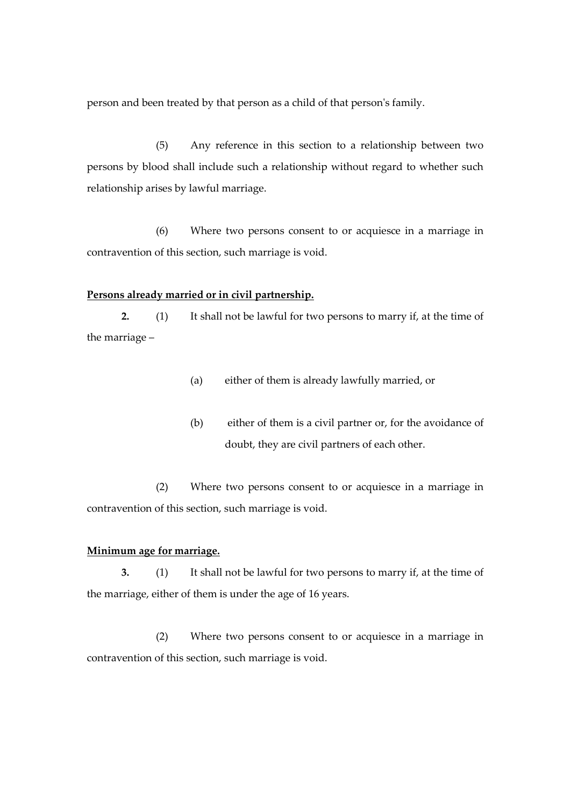person and been treated by that person as a child of that person's family.

(5) Any reference in this section to a relationship between two persons by blood shall include such a relationship without regard to whether such relationship arises by lawful marriage.

(6) Where two persons consent to or acquiesce in a marriage in contravention of this section, such marriage is void.

#### **Persons already married or in civil partnership.**

**2.** (1) It shall not be lawful for two persons to marry if, at the time of the marriage –

- (a) either of them is already lawfully married, or
- (b) either of them is a civil partner or, for the avoidance of doubt, they are civil partners of each other.

(2) Where two persons consent to or acquiesce in a marriage in contravention of this section, such marriage is void.

#### **Minimum age for marriage.**

**3.** (1) It shall not be lawful for two persons to marry if, at the time of the marriage, either of them is under the age of 16 years.

(2) Where two persons consent to or acquiesce in a marriage in contravention of this section, such marriage is void.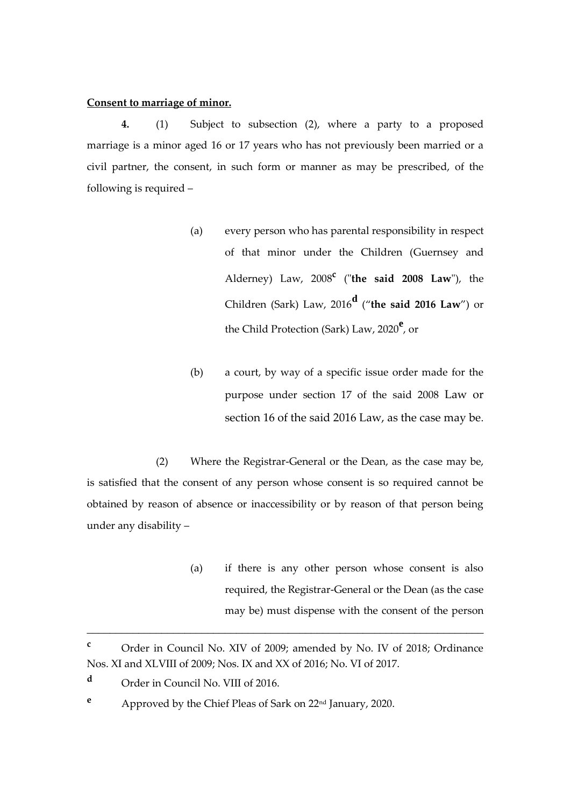#### **Consent to marriage of minor.**

**4.** (1) Subject to subsection (2), where a party to a proposed marriage is a minor aged 16 or 17 years who has not previously been married or a civil partner, the consent, in such form or manner as may be prescribed, of the following is required –

- (a) every person who has parental responsibility in respect of that minor under the Children (Guernsey and Alderney) Law, 2008**<sup>c</sup>** ("**the said 2008 Law**"), the Children (Sark) Law, 2016**<sup>d</sup>** ("**the said 2016 Law**") or the Child Protection (Sark) Law, 2020**<sup>e</sup>** , or
- (b) a court, by way of a specific issue order made for the purpose under section 17 of the said 2008 Law or section 16 of the said 2016 Law, as the case may be.

(2) Where the Registrar-General or the Dean, as the case may be, is satisfied that the consent of any person whose consent is so required cannot be obtained by reason of absence or inaccessibility or by reason of that person being under any disability –

> (a) if there is any other person whose consent is also required, the Registrar-General or the Dean (as the case may be) must dispense with the consent of the person

\_\_\_\_\_\_\_\_\_\_\_\_\_\_\_\_\_\_\_\_\_\_\_\_\_\_\_\_\_\_\_\_\_\_\_\_\_\_\_\_\_\_\_\_\_\_\_\_\_\_\_\_\_\_\_\_\_\_\_\_\_\_\_\_\_\_\_\_\_

**<sup>c</sup>** Order in Council No. XIV of 2009; amended by No. IV of 2018; Ordinance Nos. XI and XLVIII of 2009; Nos. IX and XX of 2016; No. VI of 2017.

**<sup>d</sup>** Order in Council No. VIII of 2016.

**<sup>e</sup>** Approved by the Chief Pleas of Sark on 22nd January, 2020.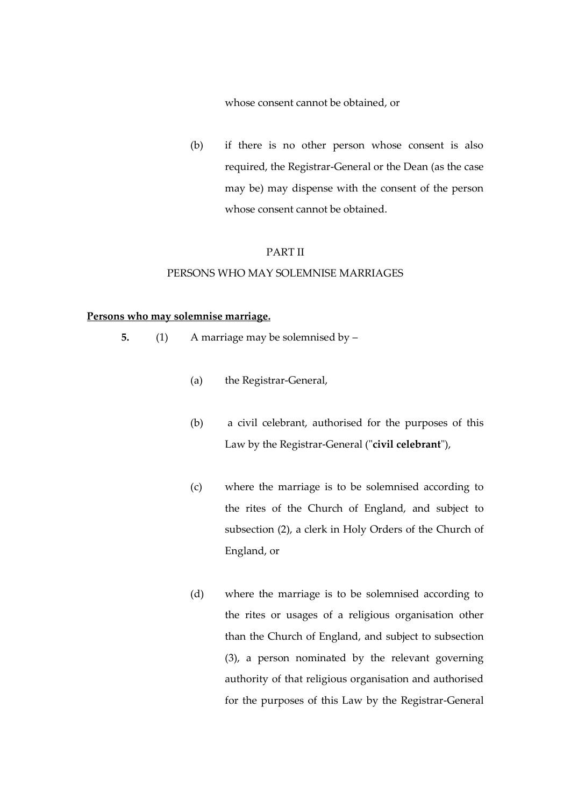whose consent cannot be obtained, or

(b) if there is no other person whose consent is also required, the Registrar-General or the Dean (as the case may be) may dispense with the consent of the person whose consent cannot be obtained.

#### PART II

#### PERSONS WHO MAY SOLEMNISE MARRIAGES

#### **Persons who may solemnise marriage.**

- **5.** (1) A marriage may be solemnised by
	- (a) the Registrar-General,
	- (b) a civil celebrant, authorised for the purposes of this Law by the Registrar-General ("**civil celebrant**"),
	- (c) where the marriage is to be solemnised according to the rites of the Church of England, and subject to subsection (2), a clerk in Holy Orders of the Church of England, or
	- (d) where the marriage is to be solemnised according to the rites or usages of a religious organisation other than the Church of England, and subject to subsection (3), a person nominated by the relevant governing authority of that religious organisation and authorised for the purposes of this Law by the Registrar-General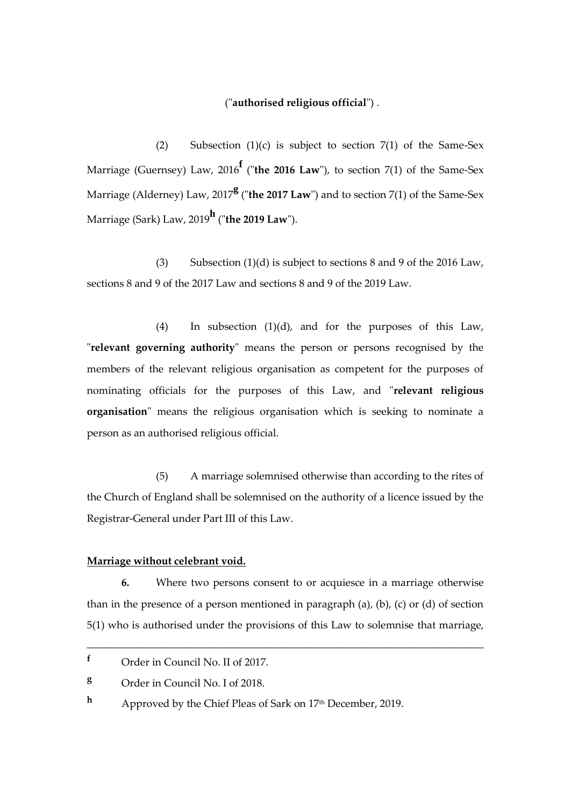#### ("**authorised religious official**") .

(2) Subsection  $(1)(c)$  is subject to section  $7(1)$  of the Same-Sex Marriage (Guernsey) Law, 2016**<sup>f</sup>** ("**the 2016 Law**"), to section 7(1) of the Same-Sex Marriage (Alderney) Law, 2017**<sup>g</sup>** ("**the 2017 Law**") and to section 7(1) of the Same-Sex Marriage (Sark) Law, 2019**<sup>h</sup>** ("**the 2019 Law**").

(3) Subsection  $(1)(d)$  is subject to sections 8 and 9 of the 2016 Law, sections 8 and 9 of the 2017 Law and sections 8 and 9 of the 2019 Law.

(4) In subsection (1)(d), and for the purposes of this Law, "**relevant governing authority**" means the person or persons recognised by the members of the relevant religious organisation as competent for the purposes of nominating officials for the purposes of this Law, and "**relevant religious organisation**" means the religious organisation which is seeking to nominate a person as an authorised religious official.

(5) A marriage solemnised otherwise than according to the rites of the Church of England shall be solemnised on the authority of a licence issued by the Registrar-General under Part III of this Law.

#### **Marriage without celebrant void.**

**6.** Where two persons consent to or acquiesce in a marriage otherwise than in the presence of a person mentioned in paragraph (a), (b), (c) or (d) of section 5(1) who is authorised under the provisions of this Law to solemnise that marriage,

\_\_\_\_\_\_\_\_\_\_\_\_\_\_\_\_\_\_\_\_\_\_\_\_\_\_\_\_\_\_\_\_\_\_\_\_\_\_\_\_\_\_\_\_\_\_\_\_\_\_\_\_\_\_\_\_\_\_\_\_\_\_\_\_\_\_\_\_\_

**<sup>f</sup>** Order in Council No. II of 2017.

**<sup>g</sup>** Order in Council No. I of 2018.

**h** Approved by the Chief Pleas of Sark on 17<sup>th</sup> December, 2019.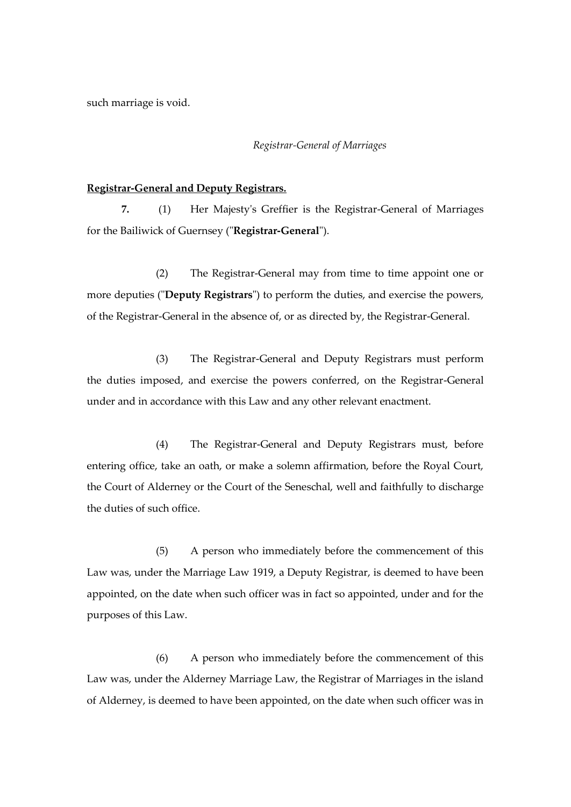such marriage is void.

#### *Registrar-General of Marriages*

#### **Registrar-General and Deputy Registrars.**

**7.** (1) Her Majesty's Greffier is the Registrar-General of Marriages for the Bailiwick of Guernsey ("**Registrar-General**").

(2) The Registrar-General may from time to time appoint one or more deputies ("**Deputy Registrars**") to perform the duties, and exercise the powers, of the Registrar-General in the absence of, or as directed by, the Registrar-General.

(3) The Registrar-General and Deputy Registrars must perform the duties imposed, and exercise the powers conferred, on the Registrar-General under and in accordance with this Law and any other relevant enactment.

(4) The Registrar-General and Deputy Registrars must, before entering office, take an oath, or make a solemn affirmation, before the Royal Court, the Court of Alderney or the Court of the Seneschal, well and faithfully to discharge the duties of such office.

(5) A person who immediately before the commencement of this Law was, under the Marriage Law 1919, a Deputy Registrar, is deemed to have been appointed, on the date when such officer was in fact so appointed, under and for the purposes of this Law.

(6) A person who immediately before the commencement of this Law was, under the Alderney Marriage Law, the Registrar of Marriages in the island of Alderney, is deemed to have been appointed, on the date when such officer was in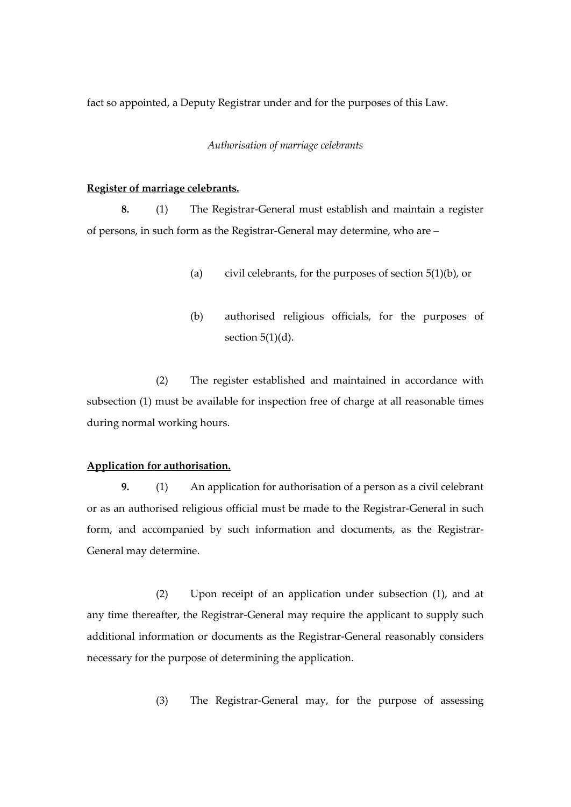fact so appointed, a Deputy Registrar under and for the purposes of this Law.

#### *Authorisation of marriage celebrants*

#### **Register of marriage celebrants.**

**8.** (1) The Registrar-General must establish and maintain a register of persons, in such form as the Registrar-General may determine, who are –

- (a) civil celebrants, for the purposes of section  $5(1)(b)$ , or
- (b) authorised religious officials, for the purposes of section  $5(1)(d)$ .

(2) The register established and maintained in accordance with subsection (1) must be available for inspection free of charge at all reasonable times during normal working hours.

#### **Application for authorisation.**

**9.** (1) An application for authorisation of a person as a civil celebrant or as an authorised religious official must be made to the Registrar-General in such form, and accompanied by such information and documents, as the Registrar-General may determine.

(2) Upon receipt of an application under subsection (1), and at any time thereafter, the Registrar-General may require the applicant to supply such additional information or documents as the Registrar-General reasonably considers necessary for the purpose of determining the application.

(3) The Registrar-General may, for the purpose of assessing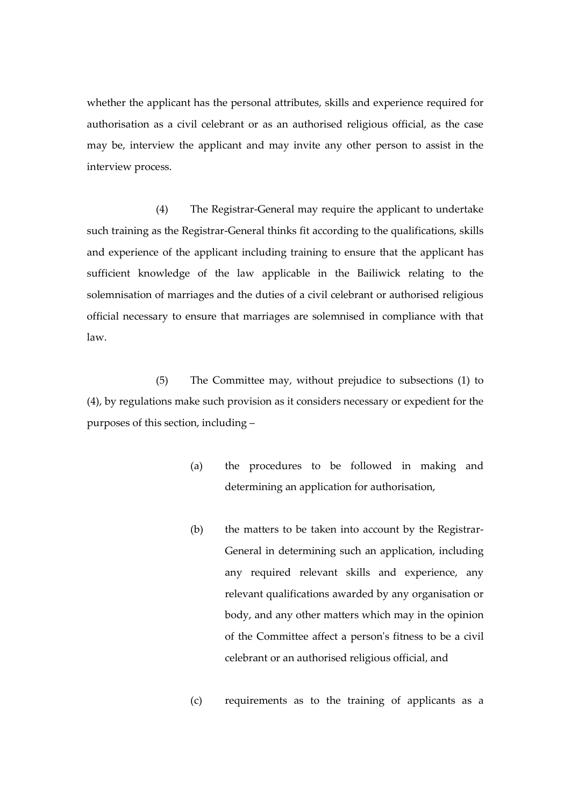whether the applicant has the personal attributes, skills and experience required for authorisation as a civil celebrant or as an authorised religious official, as the case may be, interview the applicant and may invite any other person to assist in the interview process.

(4) The Registrar-General may require the applicant to undertake such training as the Registrar-General thinks fit according to the qualifications, skills and experience of the applicant including training to ensure that the applicant has sufficient knowledge of the law applicable in the Bailiwick relating to the solemnisation of marriages and the duties of a civil celebrant or authorised religious official necessary to ensure that marriages are solemnised in compliance with that law.

(5) The Committee may, without prejudice to subsections (1) to (4), by regulations make such provision as it considers necessary or expedient for the purposes of this section, including –

- (a) the procedures to be followed in making and determining an application for authorisation,
- (b) the matters to be taken into account by the Registrar-General in determining such an application, including any required relevant skills and experience, any relevant qualifications awarded by any organisation or body, and any other matters which may in the opinion of the Committee affect a person's fitness to be a civil celebrant or an authorised religious official, and
- (c) requirements as to the training of applicants as a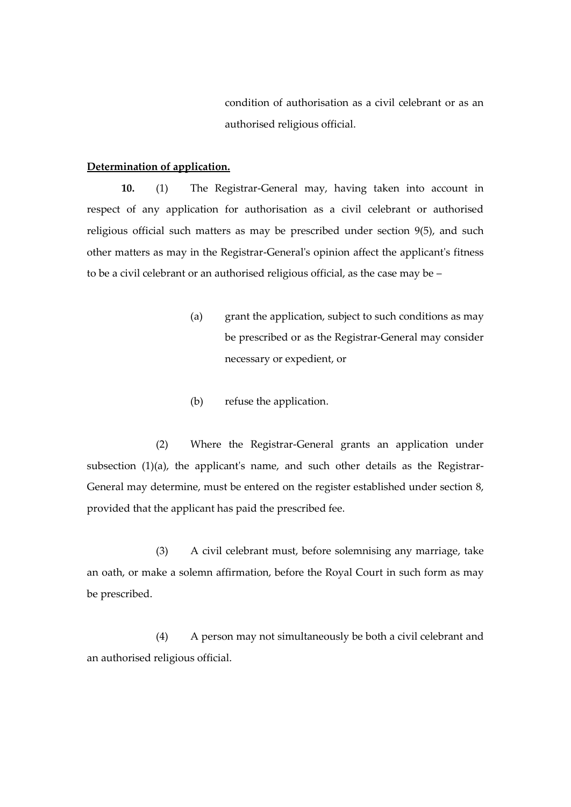condition of authorisation as a civil celebrant or as an authorised religious official.

### **Determination of application.**

**10.** (1) The Registrar-General may, having taken into account in respect of any application for authorisation as a civil celebrant or authorised religious official such matters as may be prescribed under section 9(5), and such other matters as may in the Registrar-General's opinion affect the applicant's fitness to be a civil celebrant or an authorised religious official, as the case may be –

- (a) grant the application, subject to such conditions as may be prescribed or as the Registrar-General may consider necessary or expedient, or
- (b) refuse the application.

(2) Where the Registrar-General grants an application under subsection (1)(a), the applicant's name, and such other details as the Registrar-General may determine, must be entered on the register established under section 8, provided that the applicant has paid the prescribed fee.

(3) A civil celebrant must, before solemnising any marriage, take an oath, or make a solemn affirmation, before the Royal Court in such form as may be prescribed.

(4) A person may not simultaneously be both a civil celebrant and an authorised religious official.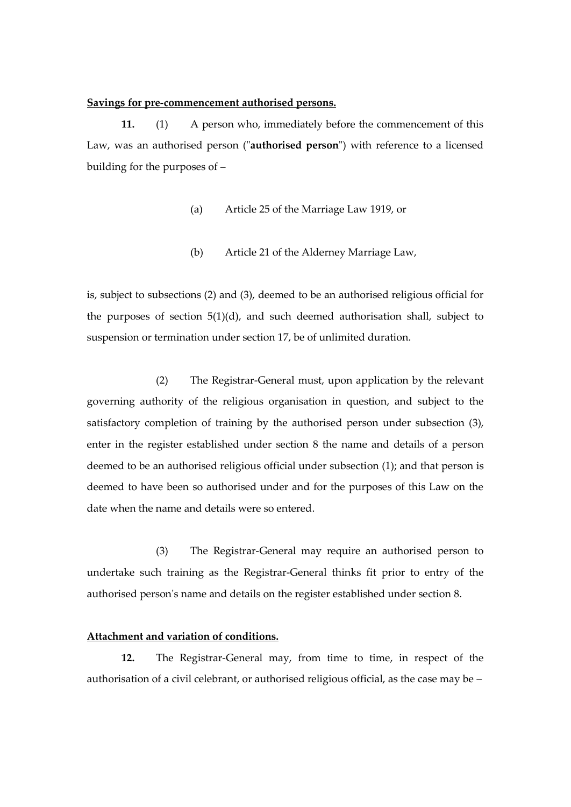#### **Savings for pre-commencement authorised persons.**

**11.** (1) A person who, immediately before the commencement of this Law, was an authorised person ("**authorised person**") with reference to a licensed building for the purposes of –

- (a) Article 25 of the Marriage Law 1919, or
- (b) Article 21 of the Alderney Marriage Law,

is, subject to subsections (2) and (3), deemed to be an authorised religious official for the purposes of section 5(1)(d), and such deemed authorisation shall, subject to suspension or termination under section 17, be of unlimited duration.

(2) The Registrar-General must, upon application by the relevant governing authority of the religious organisation in question, and subject to the satisfactory completion of training by the authorised person under subsection (3), enter in the register established under section 8 the name and details of a person deemed to be an authorised religious official under subsection (1); and that person is deemed to have been so authorised under and for the purposes of this Law on the date when the name and details were so entered.

(3) The Registrar-General may require an authorised person to undertake such training as the Registrar-General thinks fit prior to entry of the authorised person's name and details on the register established under section 8.

### **Attachment and variation of conditions.**

**12.** The Registrar-General may, from time to time, in respect of the authorisation of a civil celebrant, or authorised religious official, as the case may be –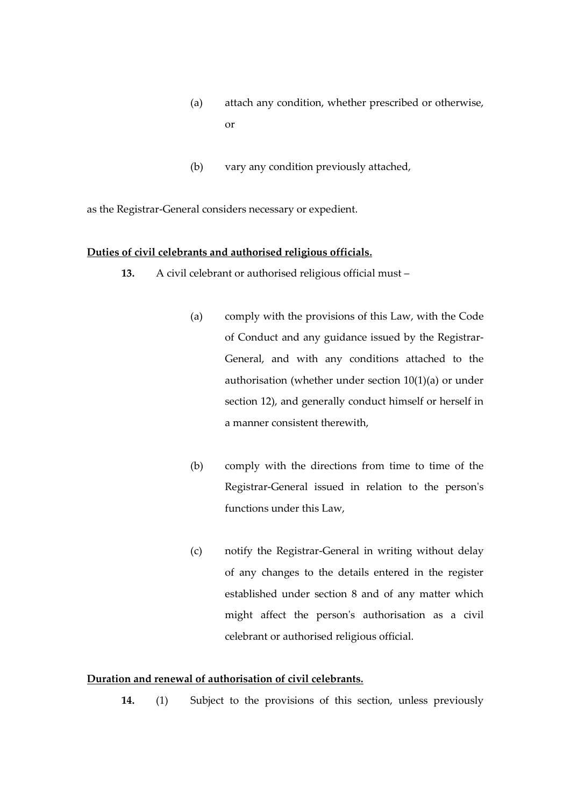- (a) attach any condition, whether prescribed or otherwise, or
- (b) vary any condition previously attached,

as the Registrar-General considers necessary or expedient.

#### **Duties of civil celebrants and authorised religious officials.**

- **13.** A civil celebrant or authorised religious official must
	- (a) comply with the provisions of this Law, with the Code of Conduct and any guidance issued by the Registrar-General, and with any conditions attached to the authorisation (whether under section 10(1)(a) or under section 12), and generally conduct himself or herself in a manner consistent therewith,
	- (b) comply with the directions from time to time of the Registrar-General issued in relation to the person's functions under this Law,
	- (c) notify the Registrar-General in writing without delay of any changes to the details entered in the register established under section 8 and of any matter which might affect the person's authorisation as a civil celebrant or authorised religious official.

## **Duration and renewal of authorisation of civil celebrants.**

**14.** (1) Subject to the provisions of this section, unless previously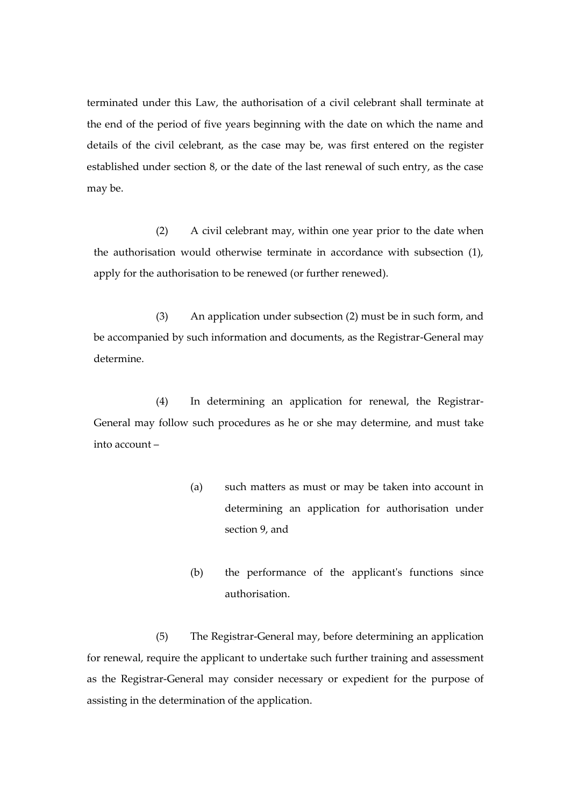terminated under this Law, the authorisation of a civil celebrant shall terminate at the end of the period of five years beginning with the date on which the name and details of the civil celebrant, as the case may be, was first entered on the register established under section 8, or the date of the last renewal of such entry, as the case may be.

(2) A civil celebrant may, within one year prior to the date when the authorisation would otherwise terminate in accordance with subsection (1), apply for the authorisation to be renewed (or further renewed).

(3) An application under subsection (2) must be in such form, and be accompanied by such information and documents, as the Registrar-General may determine.

(4) In determining an application for renewal, the Registrar-General may follow such procedures as he or she may determine, and must take into account –

- (a) such matters as must or may be taken into account in determining an application for authorisation under section 9, and
- (b) the performance of the applicant's functions since authorisation.

(5) The Registrar-General may, before determining an application for renewal, require the applicant to undertake such further training and assessment as the Registrar-General may consider necessary or expedient for the purpose of assisting in the determination of the application.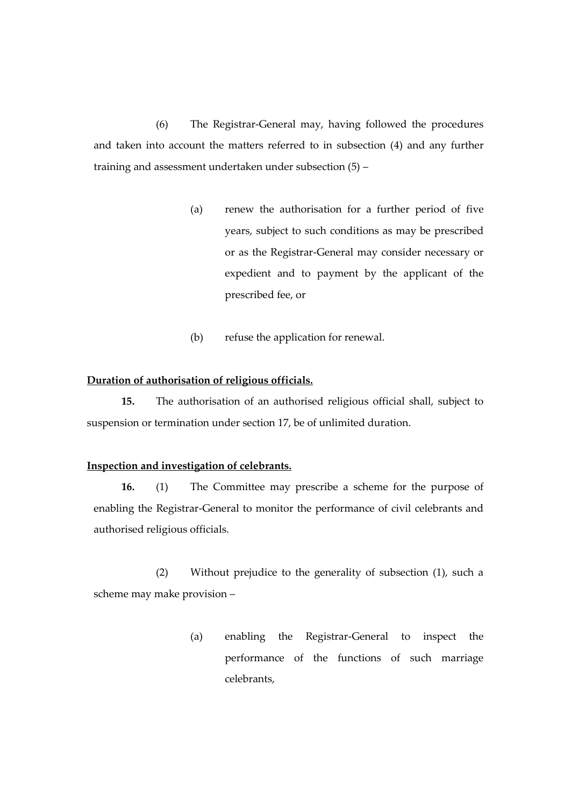(6) The Registrar-General may, having followed the procedures and taken into account the matters referred to in subsection (4) and any further training and assessment undertaken under subsection (5) –

- (a) renew the authorisation for a further period of five years, subject to such conditions as may be prescribed or as the Registrar-General may consider necessary or expedient and to payment by the applicant of the prescribed fee, or
- (b) refuse the application for renewal.

#### **Duration of authorisation of religious officials.**

**15.** The authorisation of an authorised religious official shall, subject to suspension or termination under section 17, be of unlimited duration.

## **Inspection and investigation of celebrants.**

**16.** (1) The Committee may prescribe a scheme for the purpose of enabling the Registrar-General to monitor the performance of civil celebrants and authorised religious officials.

(2) Without prejudice to the generality of subsection (1), such a scheme may make provision –

> (a) enabling the Registrar-General to inspect the performance of the functions of such marriage celebrants,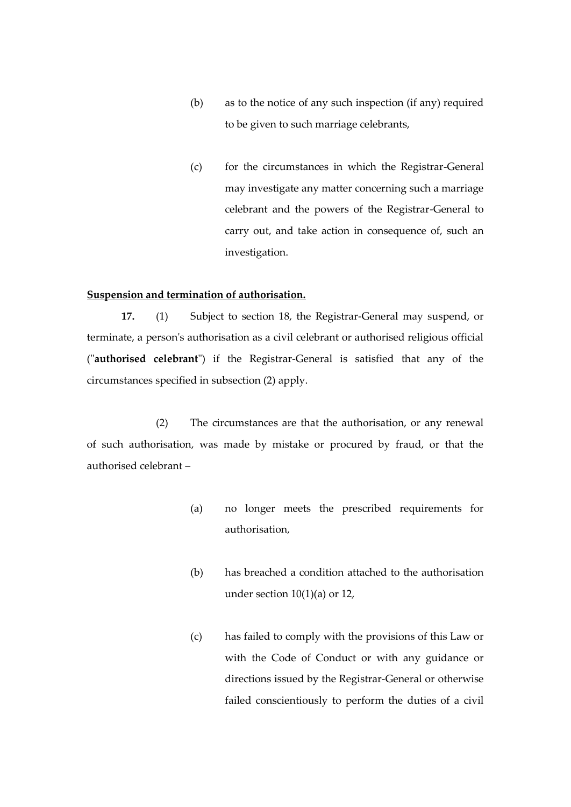- (b) as to the notice of any such inspection (if any) required to be given to such marriage celebrants,
- (c) for the circumstances in which the Registrar-General may investigate any matter concerning such a marriage celebrant and the powers of the Registrar-General to carry out, and take action in consequence of, such an investigation.

#### **Suspension and termination of authorisation.**

**17.** (1) Subject to section 18, the Registrar-General may suspend, or terminate, a person's authorisation as a civil celebrant or authorised religious official ("**authorised celebrant**") if the Registrar-General is satisfied that any of the circumstances specified in subsection (2) apply.

(2) The circumstances are that the authorisation, or any renewal of such authorisation, was made by mistake or procured by fraud, or that the authorised celebrant –

- (a) no longer meets the prescribed requirements for authorisation,
- (b) has breached a condition attached to the authorisation under section  $10(1)(a)$  or 12,
- (c) has failed to comply with the provisions of this Law or with the Code of Conduct or with any guidance or directions issued by the Registrar-General or otherwise failed conscientiously to perform the duties of a civil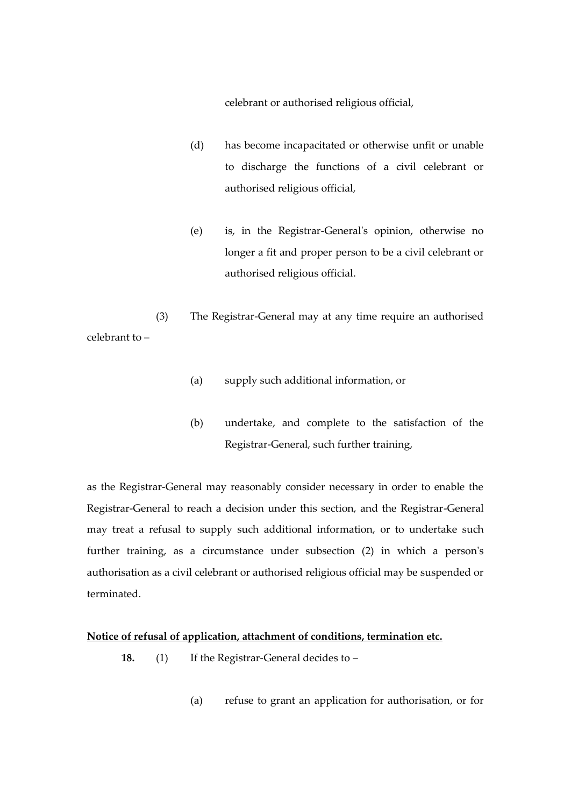celebrant or authorised religious official,

- (d) has become incapacitated or otherwise unfit or unable to discharge the functions of a civil celebrant or authorised religious official,
- (e) is, in the Registrar-General's opinion, otherwise no longer a fit and proper person to be a civil celebrant or authorised religious official.

(3) The Registrar-General may at any time require an authorised celebrant to –

- (a) supply such additional information, or
- (b) undertake, and complete to the satisfaction of the Registrar-General, such further training,

as the Registrar-General may reasonably consider necessary in order to enable the Registrar-General to reach a decision under this section, and the Registrar-General may treat a refusal to supply such additional information, or to undertake such further training, as a circumstance under subsection (2) in which a person's authorisation as a civil celebrant or authorised religious official may be suspended or terminated.

#### **Notice of refusal of application, attachment of conditions, termination etc.**

- **18.** (1) If the Registrar-General decides to
	- (a) refuse to grant an application for authorisation, or for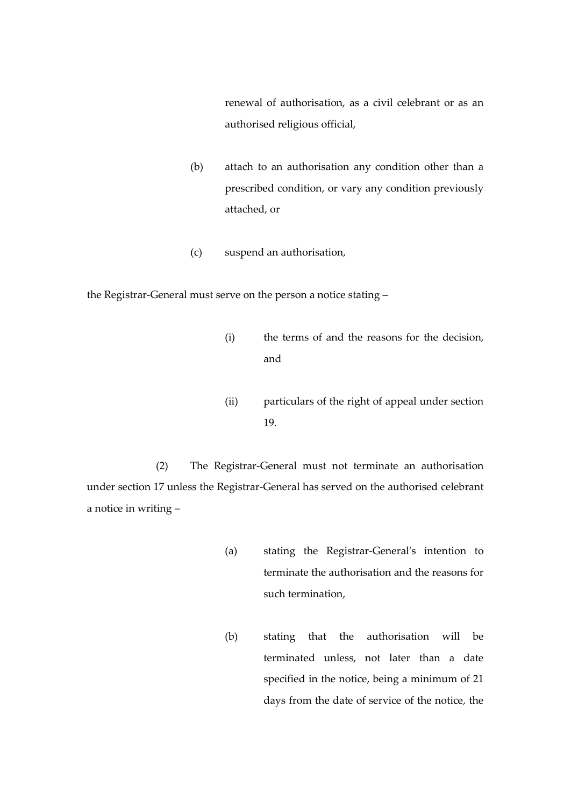renewal of authorisation, as a civil celebrant or as an authorised religious official,

- (b) attach to an authorisation any condition other than a prescribed condition, or vary any condition previously attached, or
- (c) suspend an authorisation,

the Registrar-General must serve on the person a notice stating –

- (i) the terms of and the reasons for the decision, and
- (ii) particulars of the right of appeal under section 19.

(2) The Registrar-General must not terminate an authorisation under section 17 unless the Registrar-General has served on the authorised celebrant a notice in writing –

- (a) stating the Registrar-General's intention to terminate the authorisation and the reasons for such termination,
- (b) stating that the authorisation will be terminated unless, not later than a date specified in the notice, being a minimum of 21 days from the date of service of the notice, the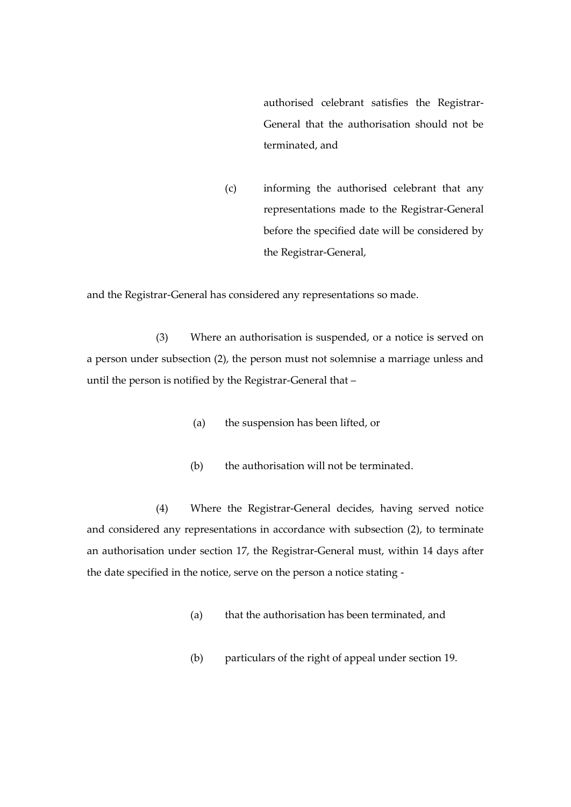authorised celebrant satisfies the Registrar-General that the authorisation should not be terminated, and

(c) informing the authorised celebrant that any representations made to the Registrar-General before the specified date will be considered by the Registrar-General,

and the Registrar-General has considered any representations so made.

(3) Where an authorisation is suspended, or a notice is served on a person under subsection (2), the person must not solemnise a marriage unless and until the person is notified by the Registrar-General that –

- (a) the suspension has been lifted, or
- (b) the authorisation will not be terminated.

(4) Where the Registrar-General decides, having served notice and considered any representations in accordance with subsection (2), to terminate an authorisation under section 17, the Registrar-General must, within 14 days after the date specified in the notice, serve on the person a notice stating -

- (a) that the authorisation has been terminated, and
- (b) particulars of the right of appeal under section 19.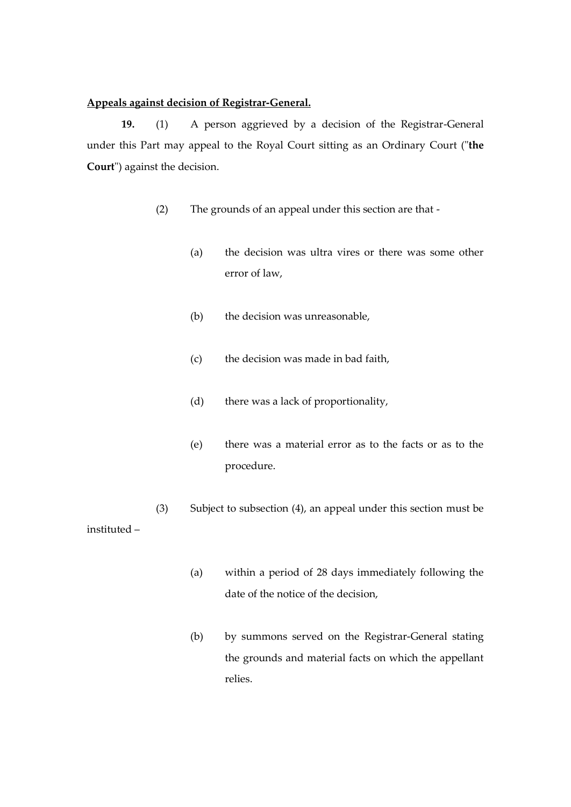#### **Appeals against decision of Registrar-General.**

**19.** (1) A person aggrieved by a decision of the Registrar-General under this Part may appeal to the Royal Court sitting as an Ordinary Court ("**the Court**") against the decision.

- (2) The grounds of an appeal under this section are that
	- (a) the decision was ultra vires or there was some other error of law,
	- (b) the decision was unreasonable,
	- (c) the decision was made in bad faith,
	- (d) there was a lack of proportionality,
	- (e) there was a material error as to the facts or as to the procedure.
- (3) Subject to subsection (4), an appeal under this section must be instituted –
	- (a) within a period of 28 days immediately following the date of the notice of the decision,
	- (b) by summons served on the Registrar-General stating the grounds and material facts on which the appellant relies.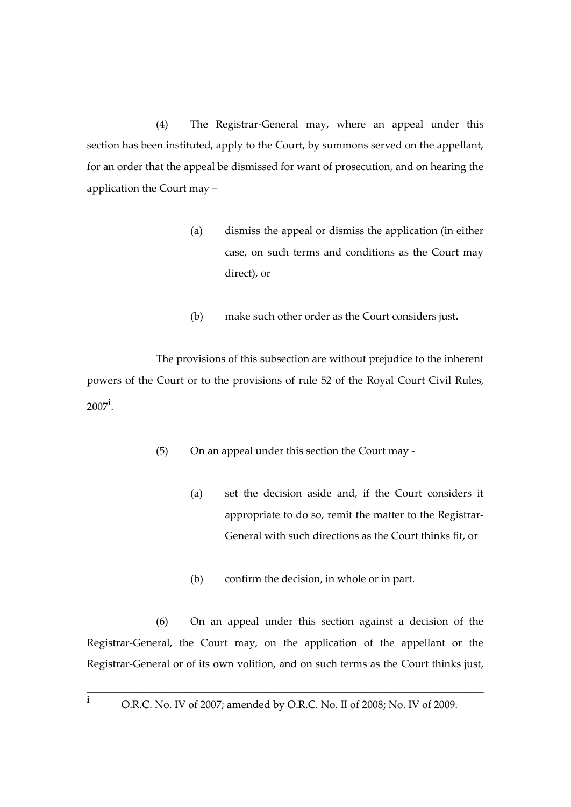(4) The Registrar-General may, where an appeal under this section has been instituted, apply to the Court, by summons served on the appellant, for an order that the appeal be dismissed for want of prosecution, and on hearing the application the Court may –

- (a) dismiss the appeal or dismiss the application (in either case, on such terms and conditions as the Court may direct), or
- (b) make such other order as the Court considers just.

The provisions of this subsection are without prejudice to the inherent powers of the Court or to the provisions of rule 52 of the Royal Court Civil Rules, 2007**<sup>i</sup>** .

- (5) On an appeal under this section the Court may
	- (a) set the decision aside and, if the Court considers it appropriate to do so, remit the matter to the Registrar-General with such directions as the Court thinks fit, or
	- (b) confirm the decision, in whole or in part.

(6) On an appeal under this section against a decision of the Registrar-General, the Court may, on the application of the appellant or the Registrar-General or of its own volition, and on such terms as the Court thinks just,

\_\_\_\_\_\_\_\_\_\_\_\_\_\_\_\_\_\_\_\_\_\_\_\_\_\_\_\_\_\_\_\_\_\_\_\_\_\_\_\_\_\_\_\_\_\_\_\_\_\_\_\_\_\_\_\_\_\_\_\_\_\_\_\_\_\_\_\_\_ **i** O.R.C. No. IV of 2007; amended by O.R.C. No. II of 2008; No. IV of 2009.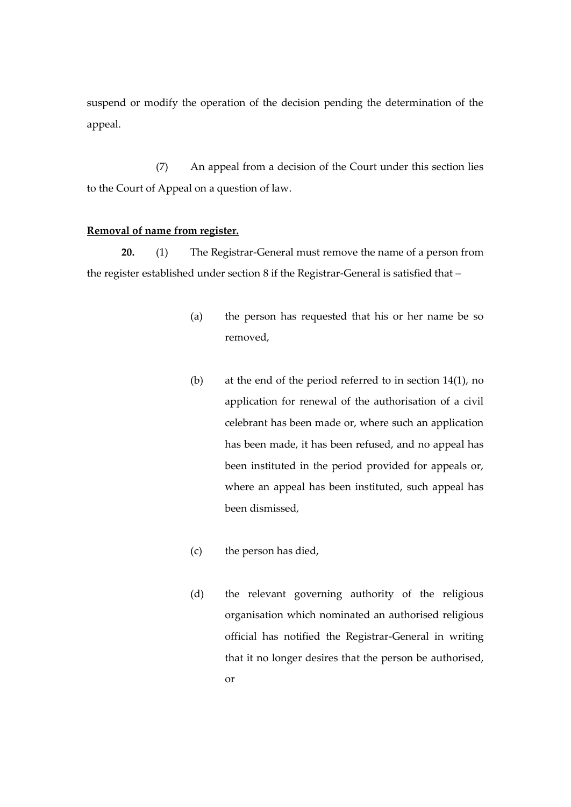suspend or modify the operation of the decision pending the determination of the appeal.

(7) An appeal from a decision of the Court under this section lies to the Court of Appeal on a question of law.

### **Removal of name from register.**

**20.** (1) The Registrar-General must remove the name of a person from the register established under section 8 if the Registrar-General is satisfied that –

- (a) the person has requested that his or her name be so removed,
- (b) at the end of the period referred to in section 14(1), no application for renewal of the authorisation of a civil celebrant has been made or, where such an application has been made, it has been refused, and no appeal has been instituted in the period provided for appeals or, where an appeal has been instituted, such appeal has been dismissed,
- (c) the person has died,
- (d) the relevant governing authority of the religious organisation which nominated an authorised religious official has notified the Registrar-General in writing that it no longer desires that the person be authorised,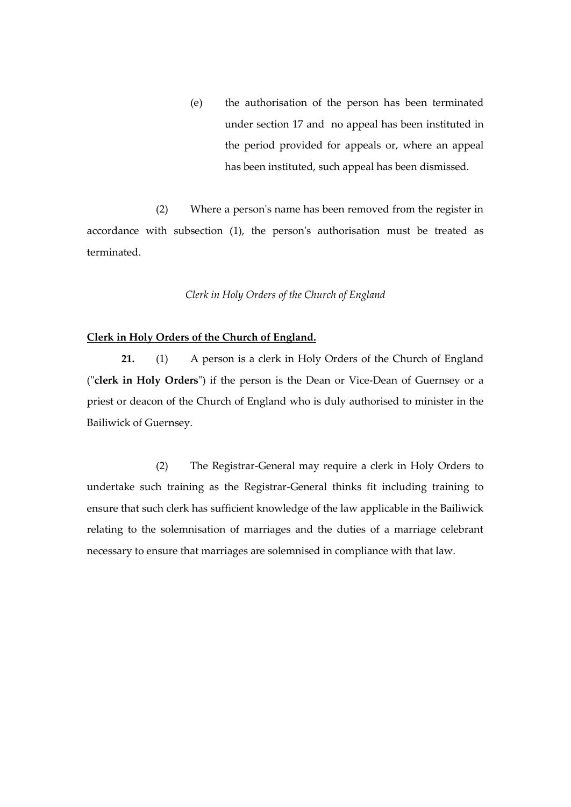(e) the authorisation of the person has been terminated under section 17 and no appeal has been instituted in the period provided for appeals or, where an appeal has been instituted, such appeal has been dismissed.

(2) Where a person's name has been removed from the register in accordance with subsection (1), the person's authorisation must be treated as terminated.

#### *Clerk in Holy Orders of the Church of England*

#### **Clerk in Holy Orders of the Church of England.**

**21.** (1) A person is a clerk in Holy Orders of the Church of England ("**clerk in Holy Orders**") if the person is the Dean or Vice-Dean of Guernsey or a priest or deacon of the Church of England who is duly authorised to minister in the Bailiwick of Guernsey.

(2) The Registrar-General may require a clerk in Holy Orders to undertake such training as the Registrar-General thinks fit including training to ensure that such clerk has sufficient knowledge of the law applicable in the Bailiwick relating to the solemnisation of marriages and the duties of a marriage celebrant necessary to ensure that marriages are solemnised in compliance with that law.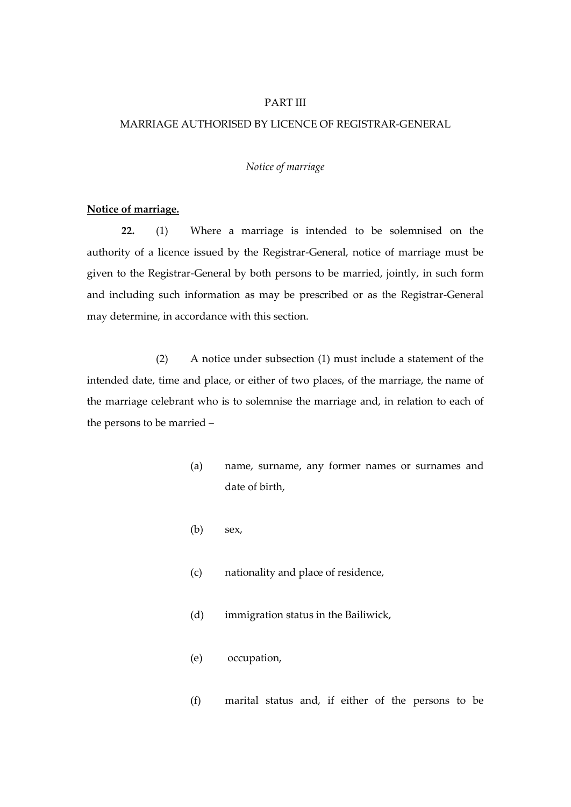#### PART III

#### MARRIAGE AUTHORISED BY LICENCE OF REGISTRAR-GENERAL

#### *Notice of marriage*

#### **Notice of marriage.**

**22.** (1) Where a marriage is intended to be solemnised on the authority of a licence issued by the Registrar-General, notice of marriage must be given to the Registrar-General by both persons to be married, jointly, in such form and including such information as may be prescribed or as the Registrar-General may determine, in accordance with this section.

(2) A notice under subsection (1) must include a statement of the intended date, time and place, or either of two places, of the marriage, the name of the marriage celebrant who is to solemnise the marriage and, in relation to each of the persons to be married –

- (a) name, surname, any former names or surnames and date of birth,
- (b) sex,
- (c) nationality and place of residence,
- (d) immigration status in the Bailiwick,
- (e) occupation,
- (f) marital status and, if either of the persons to be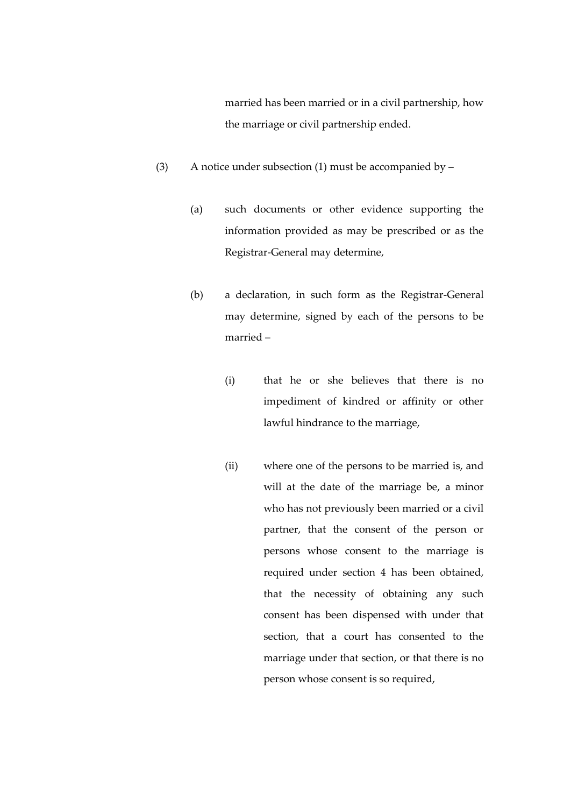married has been married or in a civil partnership, how the marriage or civil partnership ended.

- (3) A notice under subsection (1) must be accompanied by  $-$ 
	- (a) such documents or other evidence supporting the information provided as may be prescribed or as the Registrar-General may determine,
	- (b) a declaration, in such form as the Registrar-General may determine, signed by each of the persons to be married –
		- (i) that he or she believes that there is no impediment of kindred or affinity or other lawful hindrance to the marriage,
		- (ii) where one of the persons to be married is, and will at the date of the marriage be, a minor who has not previously been married or a civil partner, that the consent of the person or persons whose consent to the marriage is required under section 4 has been obtained, that the necessity of obtaining any such consent has been dispensed with under that section, that a court has consented to the marriage under that section, or that there is no person whose consent is so required,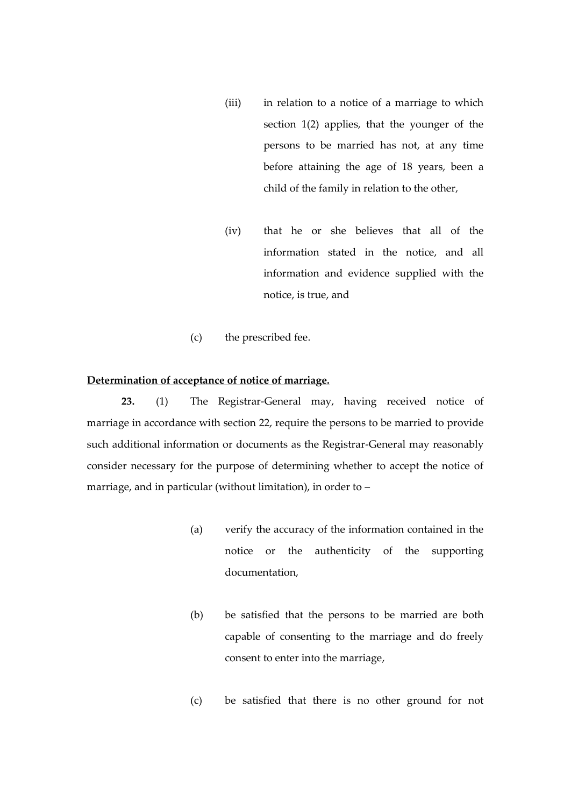- (iii) in relation to a notice of a marriage to which section 1(2) applies, that the younger of the persons to be married has not, at any time before attaining the age of 18 years, been a child of the family in relation to the other,
- (iv) that he or she believes that all of the information stated in the notice, and all information and evidence supplied with the notice, is true, and
- (c) the prescribed fee.

#### **Determination of acceptance of notice of marriage.**

**23.** (1) The Registrar-General may, having received notice of marriage in accordance with section 22, require the persons to be married to provide such additional information or documents as the Registrar-General may reasonably consider necessary for the purpose of determining whether to accept the notice of marriage, and in particular (without limitation), in order to –

- (a) verify the accuracy of the information contained in the notice or the authenticity of the supporting documentation,
- (b) be satisfied that the persons to be married are both capable of consenting to the marriage and do freely consent to enter into the marriage,
- (c) be satisfied that there is no other ground for not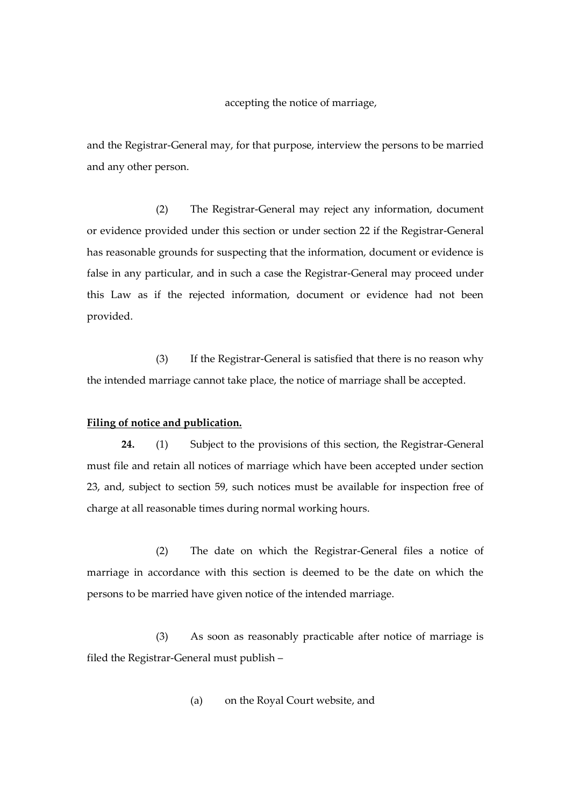accepting the notice of marriage,

and the Registrar-General may, for that purpose, interview the persons to be married and any other person.

(2) The Registrar-General may reject any information, document or evidence provided under this section or under section 22 if the Registrar-General has reasonable grounds for suspecting that the information, document or evidence is false in any particular, and in such a case the Registrar-General may proceed under this Law as if the rejected information, document or evidence had not been provided.

(3) If the Registrar-General is satisfied that there is no reason why the intended marriage cannot take place, the notice of marriage shall be accepted.

#### **Filing of notice and publication.**

**24.** (1) Subject to the provisions of this section, the Registrar-General must file and retain all notices of marriage which have been accepted under section 23, and, subject to section 59, such notices must be available for inspection free of charge at all reasonable times during normal working hours.

(2) The date on which the Registrar-General files a notice of marriage in accordance with this section is deemed to be the date on which the persons to be married have given notice of the intended marriage.

(3) As soon as reasonably practicable after notice of marriage is filed the Registrar-General must publish –

(a) on the Royal Court website, and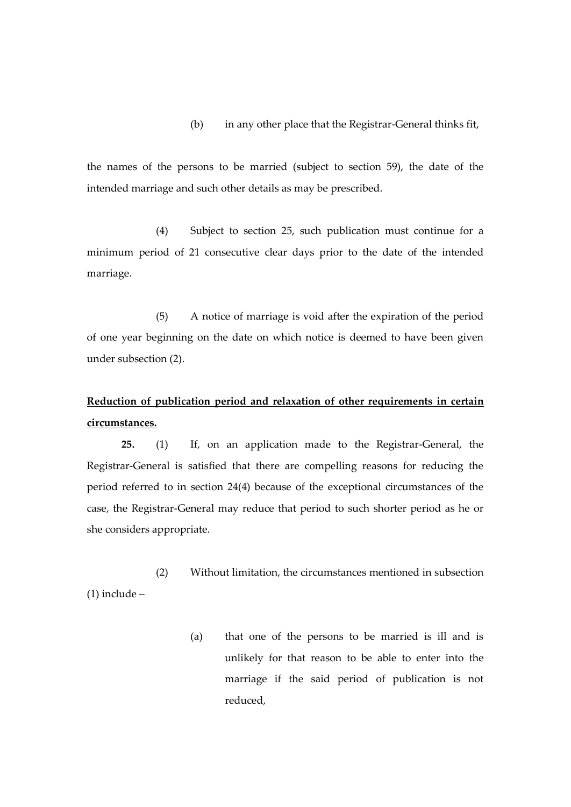## (b) in any other place that the Registrar-General thinks fit,

the names of the persons to be married (subject to section 59), the date of the intended marriage and such other details as may be prescribed.

(4) Subject to section 25, such publication must continue for a minimum period of 21 consecutive clear days prior to the date of the intended marriage.

(5) A notice of marriage is void after the expiration of the period of one year beginning on the date on which notice is deemed to have been given under subsection (2).

## **Reduction of publication period and relaxation of other requirements in certain circumstances.**

**25.** (1) If, on an application made to the Registrar-General, the Registrar-General is satisfied that there are compelling reasons for reducing the period referred to in section 24(4) because of the exceptional circumstances of the case, the Registrar-General may reduce that period to such shorter period as he or she considers appropriate.

(2) Without limitation, the circumstances mentioned in subsection (1) include –

> (a) that one of the persons to be married is ill and is unlikely for that reason to be able to enter into the marriage if the said period of publication is not reduced,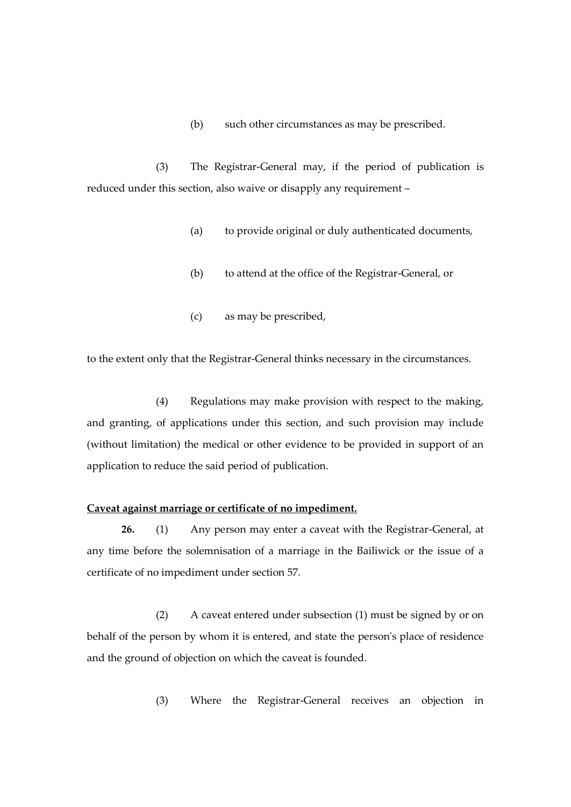(b) such other circumstances as may be prescribed.

(3) The Registrar-General may, if the period of publication is reduced under this section, also waive or disapply any requirement –

- (a) to provide original or duly authenticated documents,
- (b) to attend at the office of the Registrar-General, or
- (c) as may be prescribed,

to the extent only that the Registrar-General thinks necessary in the circumstances.

(4) Regulations may make provision with respect to the making, and granting, of applications under this section, and such provision may include (without limitation) the medical or other evidence to be provided in support of an application to reduce the said period of publication.

### **Caveat against marriage or certificate of no impediment.**

**26.** (1) Any person may enter a caveat with the Registrar-General, at any time before the solemnisation of a marriage in the Bailiwick or the issue of a certificate of no impediment under section 57.

(2) A caveat entered under subsection (1) must be signed by or on behalf of the person by whom it is entered, and state the person's place of residence and the ground of objection on which the caveat is founded.

(3) Where the Registrar-General receives an objection in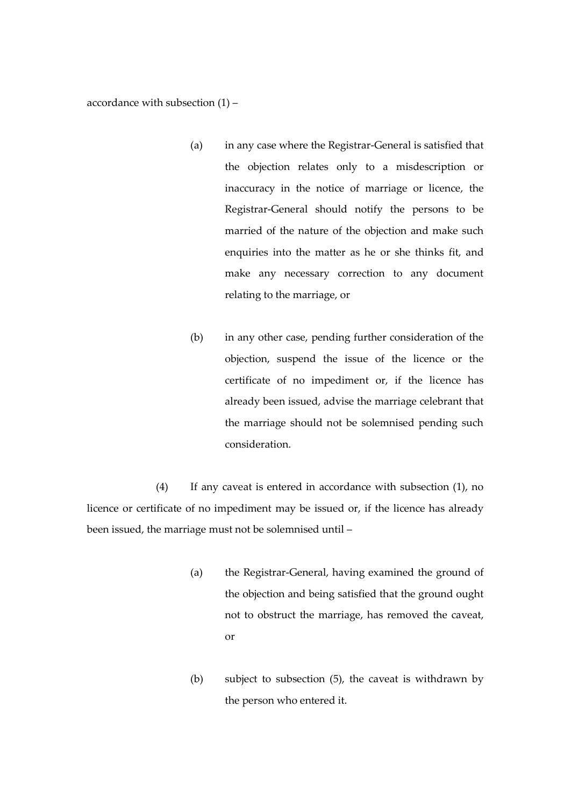accordance with subsection (1) –

- (a) in any case where the Registrar-General is satisfied that the objection relates only to a misdescription or inaccuracy in the notice of marriage or licence, the Registrar-General should notify the persons to be married of the nature of the objection and make such enquiries into the matter as he or she thinks fit, and make any necessary correction to any document relating to the marriage, or
- (b) in any other case, pending further consideration of the objection, suspend the issue of the licence or the certificate of no impediment or, if the licence has already been issued, advise the marriage celebrant that the marriage should not be solemnised pending such consideration.

(4) If any caveat is entered in accordance with subsection (1), no licence or certificate of no impediment may be issued or, if the licence has already been issued, the marriage must not be solemnised until –

- (a) the Registrar-General, having examined the ground of the objection and being satisfied that the ground ought not to obstruct the marriage, has removed the caveat, or
- (b) subject to subsection (5), the caveat is withdrawn by the person who entered it.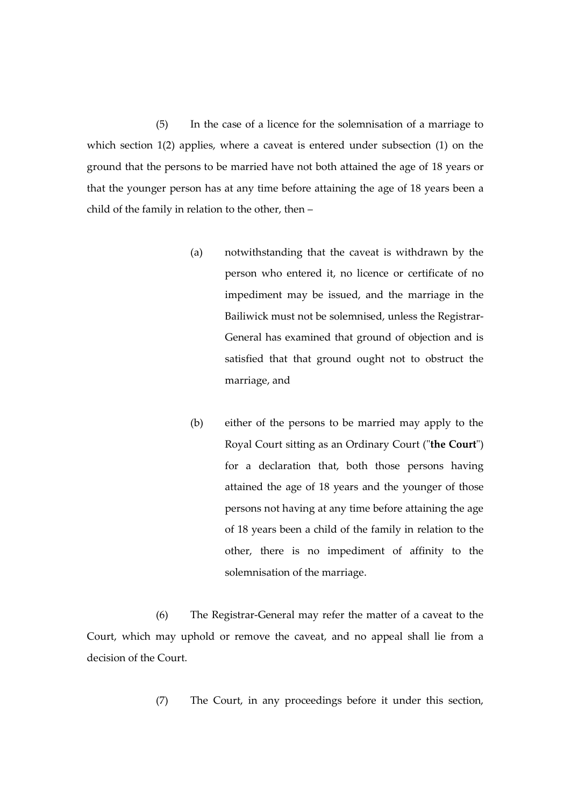(5) In the case of a licence for the solemnisation of a marriage to which section 1(2) applies, where a caveat is entered under subsection (1) on the ground that the persons to be married have not both attained the age of 18 years or that the younger person has at any time before attaining the age of 18 years been a child of the family in relation to the other, then –

- (a) notwithstanding that the caveat is withdrawn by the person who entered it, no licence or certificate of no impediment may be issued, and the marriage in the Bailiwick must not be solemnised, unless the Registrar-General has examined that ground of objection and is satisfied that that ground ought not to obstruct the marriage, and
- (b) either of the persons to be married may apply to the Royal Court sitting as an Ordinary Court ("**the Court**") for a declaration that, both those persons having attained the age of 18 years and the younger of those persons not having at any time before attaining the age of 18 years been a child of the family in relation to the other, there is no impediment of affinity to the solemnisation of the marriage.

(6) The Registrar-General may refer the matter of a caveat to the Court, which may uphold or remove the caveat, and no appeal shall lie from a decision of the Court.

(7) The Court, in any proceedings before it under this section,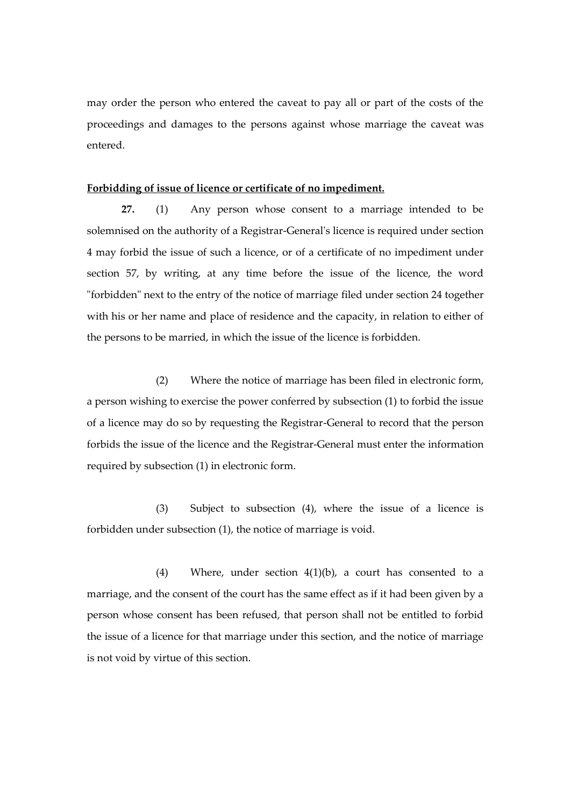may order the person who entered the caveat to pay all or part of the costs of the proceedings and damages to the persons against whose marriage the caveat was entered.

#### **Forbidding of issue of licence or certificate of no impediment.**

**27.** (1) Any person whose consent to a marriage intended to be solemnised on the authority of a Registrar-General's licence is required under section 4 may forbid the issue of such a licence, or of a certificate of no impediment under section 57, by writing, at any time before the issue of the licence, the word "forbidden" next to the entry of the notice of marriage filed under section 24 together with his or her name and place of residence and the capacity, in relation to either of the persons to be married, in which the issue of the licence is forbidden.

(2) Where the notice of marriage has been filed in electronic form, a person wishing to exercise the power conferred by subsection (1) to forbid the issue of a licence may do so by requesting the Registrar-General to record that the person forbids the issue of the licence and the Registrar-General must enter the information required by subsection (1) in electronic form.

(3) Subject to subsection (4), where the issue of a licence is forbidden under subsection (1), the notice of marriage is void.

(4) Where, under section 4(1)(b), a court has consented to a marriage, and the consent of the court has the same effect as if it had been given by a person whose consent has been refused, that person shall not be entitled to forbid the issue of a licence for that marriage under this section, and the notice of marriage is not void by virtue of this section.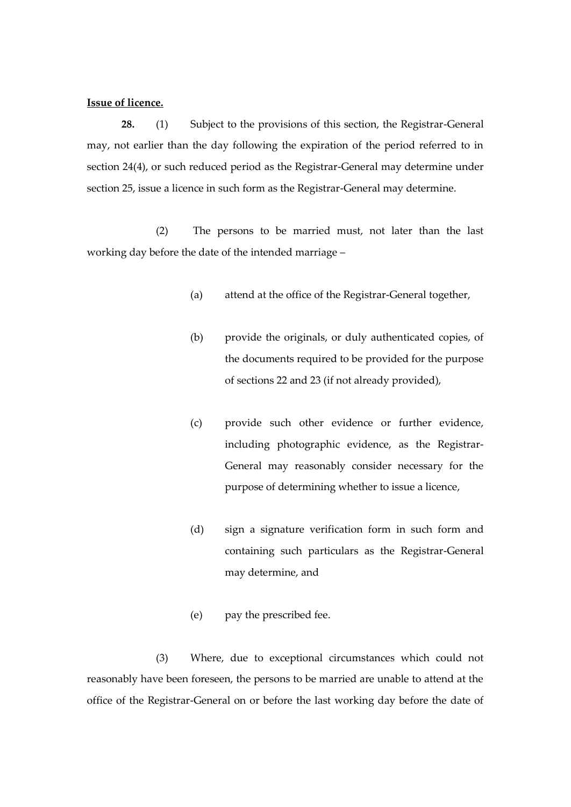#### **Issue of licence.**

**28.** (1) Subject to the provisions of this section, the Registrar-General may, not earlier than the day following the expiration of the period referred to in section 24(4), or such reduced period as the Registrar-General may determine under section 25, issue a licence in such form as the Registrar-General may determine.

(2) The persons to be married must, not later than the last working day before the date of the intended marriage –

- (a) attend at the office of the Registrar-General together,
- (b) provide the originals, or duly authenticated copies, of the documents required to be provided for the purpose of sections 22 and 23 (if not already provided),
- (c) provide such other evidence or further evidence, including photographic evidence, as the Registrar-General may reasonably consider necessary for the purpose of determining whether to issue a licence,
- (d) sign a signature verification form in such form and containing such particulars as the Registrar-General may determine, and
- (e) pay the prescribed fee.

(3) Where, due to exceptional circumstances which could not reasonably have been foreseen, the persons to be married are unable to attend at the office of the Registrar-General on or before the last working day before the date of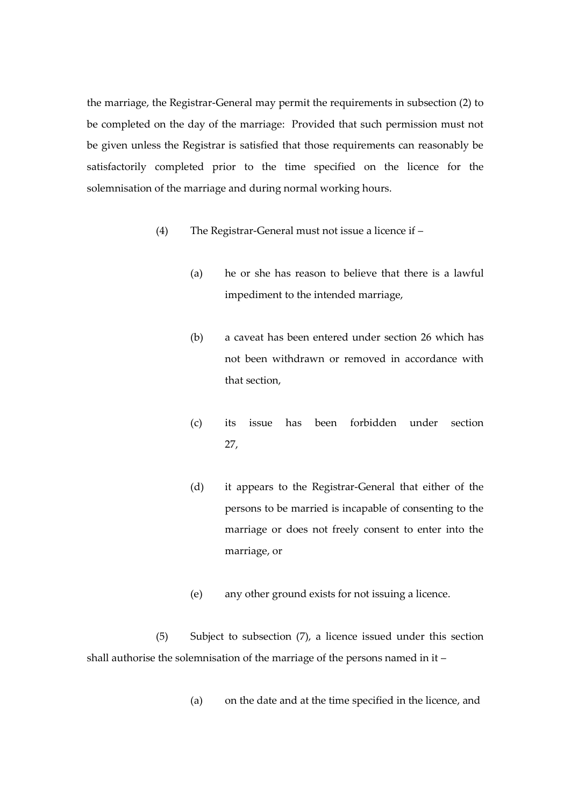the marriage, the Registrar-General may permit the requirements in subsection (2) to be completed on the day of the marriage: Provided that such permission must not be given unless the Registrar is satisfied that those requirements can reasonably be satisfactorily completed prior to the time specified on the licence for the solemnisation of the marriage and during normal working hours.

- (4) The Registrar-General must not issue a licence if
	- (a) he or she has reason to believe that there is a lawful impediment to the intended marriage,
	- (b) a caveat has been entered under section 26 which has not been withdrawn or removed in accordance with that section,
	- (c) its issue has been forbidden under section 27,
	- (d) it appears to the Registrar-General that either of the persons to be married is incapable of consenting to the marriage or does not freely consent to enter into the marriage, or
	- (e) any other ground exists for not issuing a licence.

(5) Subject to subsection (7), a licence issued under this section shall authorise the solemnisation of the marriage of the persons named in it –

(a) on the date and at the time specified in the licence, and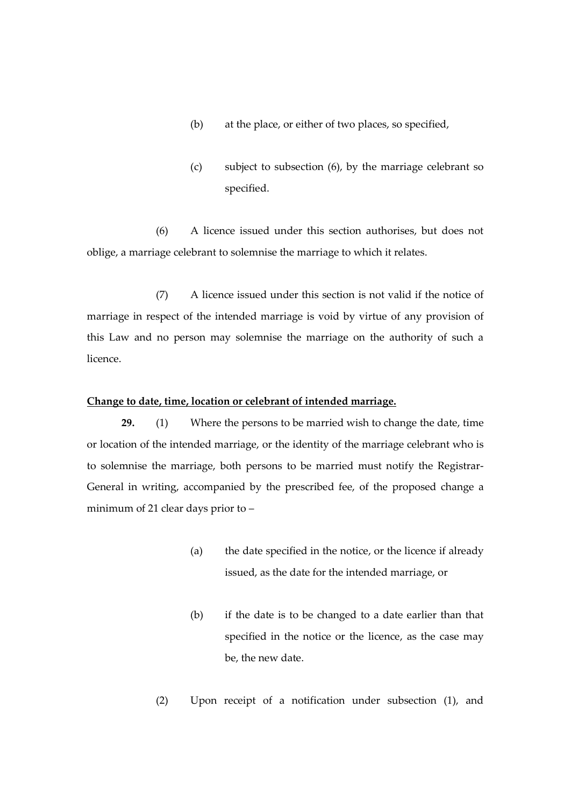- (b) at the place, or either of two places, so specified,
- (c) subject to subsection (6), by the marriage celebrant so specified.

(6) A licence issued under this section authorises, but does not oblige, a marriage celebrant to solemnise the marriage to which it relates.

(7) A licence issued under this section is not valid if the notice of marriage in respect of the intended marriage is void by virtue of any provision of this Law and no person may solemnise the marriage on the authority of such a licence.

# **Change to date, time, location or celebrant of intended marriage.**

**29.** (1) Where the persons to be married wish to change the date, time or location of the intended marriage, or the identity of the marriage celebrant who is to solemnise the marriage, both persons to be married must notify the Registrar-General in writing, accompanied by the prescribed fee, of the proposed change a minimum of 21 clear days prior to –

- (a) the date specified in the notice, or the licence if already issued, as the date for the intended marriage, or
- (b) if the date is to be changed to a date earlier than that specified in the notice or the licence, as the case may be, the new date.
- (2) Upon receipt of a notification under subsection (1), and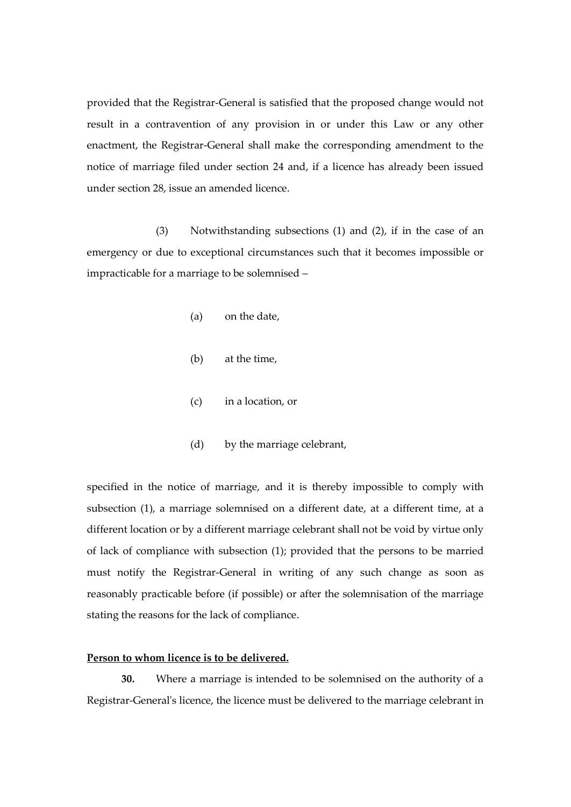provided that the Registrar-General is satisfied that the proposed change would not result in a contravention of any provision in or under this Law or any other enactment, the Registrar-General shall make the corresponding amendment to the notice of marriage filed under section 24 and, if a licence has already been issued under section 28, issue an amended licence.

(3) Notwithstanding subsections (1) and (2), if in the case of an emergency or due to exceptional circumstances such that it becomes impossible or impracticable for a marriage to be solemnised –

- (a) on the date,
- (b) at the time,
- (c) in a location, or
- (d) by the marriage celebrant,

specified in the notice of marriage, and it is thereby impossible to comply with subsection (1), a marriage solemnised on a different date, at a different time, at a different location or by a different marriage celebrant shall not be void by virtue only of lack of compliance with subsection (1); provided that the persons to be married must notify the Registrar-General in writing of any such change as soon as reasonably practicable before (if possible) or after the solemnisation of the marriage stating the reasons for the lack of compliance.

## **Person to whom licence is to be delivered.**

**30.** Where a marriage is intended to be solemnised on the authority of a Registrar-General's licence, the licence must be delivered to the marriage celebrant in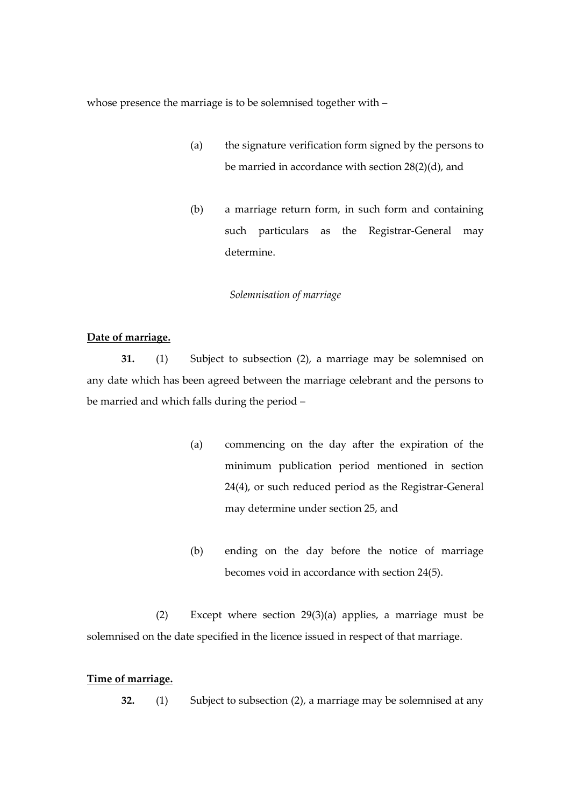whose presence the marriage is to be solemnised together with –

- (a) the signature verification form signed by the persons to be married in accordance with section 28(2)(d), and
- (b) a marriage return form, in such form and containing such particulars as the Registrar-General may determine.

# *Solemnisation of marriage*

# **Date of marriage.**

**31.** (1) Subject to subsection (2), a marriage may be solemnised on any date which has been agreed between the marriage celebrant and the persons to be married and which falls during the period –

- (a) commencing on the day after the expiration of the minimum publication period mentioned in section 24(4), or such reduced period as the Registrar-General may determine under section 25, and
- (b) ending on the day before the notice of marriage becomes void in accordance with section 24(5).

(2) Except where section 29(3)(a) applies, a marriage must be solemnised on the date specified in the licence issued in respect of that marriage.

## **Time of marriage.**

**32.** (1) Subject to subsection (2), a marriage may be solemnised at any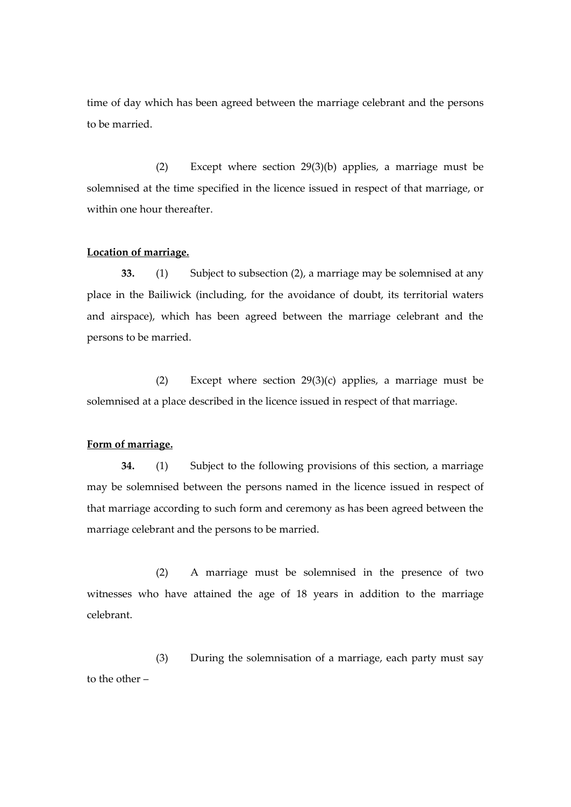time of day which has been agreed between the marriage celebrant and the persons to be married.

(2) Except where section 29(3)(b) applies, a marriage must be solemnised at the time specified in the licence issued in respect of that marriage, or within one hour thereafter.

## **Location of marriage.**

**33.** (1) Subject to subsection (2), a marriage may be solemnised at any place in the Bailiwick (including, for the avoidance of doubt, its territorial waters and airspace), which has been agreed between the marriage celebrant and the persons to be married.

(2) Except where section 29(3)(c) applies, a marriage must be solemnised at a place described in the licence issued in respect of that marriage.

### **Form of marriage.**

**34.** (1) Subject to the following provisions of this section, a marriage may be solemnised between the persons named in the licence issued in respect of that marriage according to such form and ceremony as has been agreed between the marriage celebrant and the persons to be married.

(2) A marriage must be solemnised in the presence of two witnesses who have attained the age of 18 years in addition to the marriage celebrant.

(3) During the solemnisation of a marriage, each party must say to the other –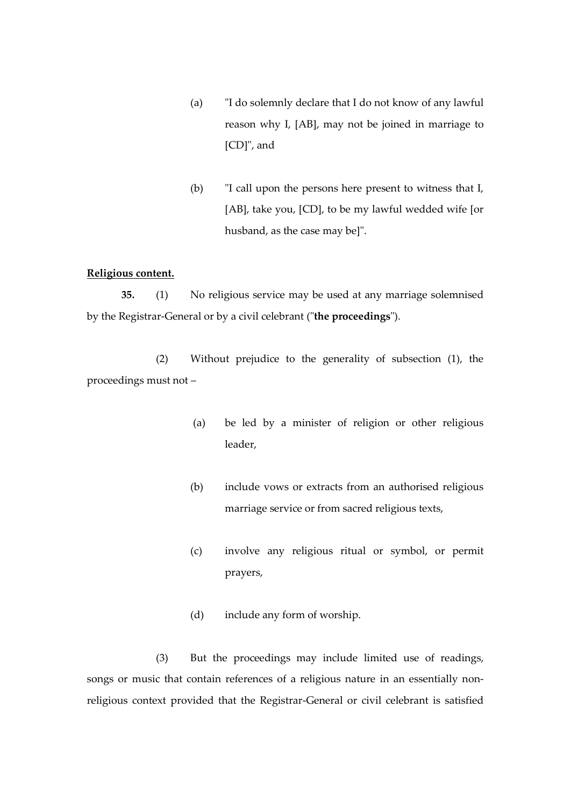- (a) "I do solemnly declare that I do not know of any lawful reason why I, [AB], may not be joined in marriage to [CD]", and
- (b) "I call upon the persons here present to witness that I, [AB], take you, [CD], to be my lawful wedded wife [or husband, as the case may be]".

### **Religious content.**

**35.** (1) No religious service may be used at any marriage solemnised by the Registrar-General or by a civil celebrant ("**the proceedings**").

(2) Without prejudice to the generality of subsection (1), the proceedings must not –

- (a) be led by a minister of religion or other religious leader,
- (b) include vows or extracts from an authorised religious marriage service or from sacred religious texts,
- (c) involve any religious ritual or symbol, or permit prayers,
- (d) include any form of worship.

(3) But the proceedings may include limited use of readings, songs or music that contain references of a religious nature in an essentially nonreligious context provided that the Registrar-General or civil celebrant is satisfied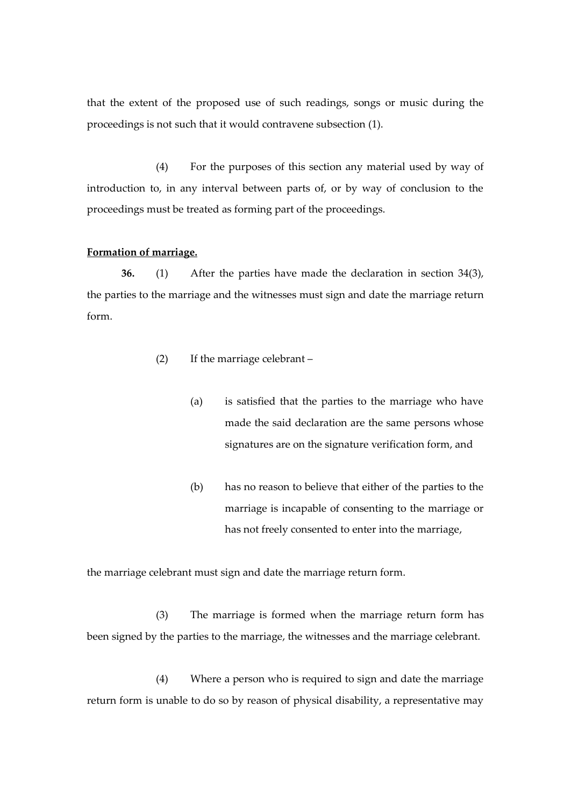that the extent of the proposed use of such readings, songs or music during the proceedings is not such that it would contravene subsection (1).

(4) For the purposes of this section any material used by way of introduction to, in any interval between parts of, or by way of conclusion to the proceedings must be treated as forming part of the proceedings.

## **Formation of marriage.**

**36.** (1) After the parties have made the declaration in section 34(3), the parties to the marriage and the witnesses must sign and date the marriage return form.

- (2) If the marriage celebrant
	- (a) is satisfied that the parties to the marriage who have made the said declaration are the same persons whose signatures are on the signature verification form, and
	- (b) has no reason to believe that either of the parties to the marriage is incapable of consenting to the marriage or has not freely consented to enter into the marriage,

the marriage celebrant must sign and date the marriage return form.

(3) The marriage is formed when the marriage return form has been signed by the parties to the marriage, the witnesses and the marriage celebrant.

(4) Where a person who is required to sign and date the marriage return form is unable to do so by reason of physical disability, a representative may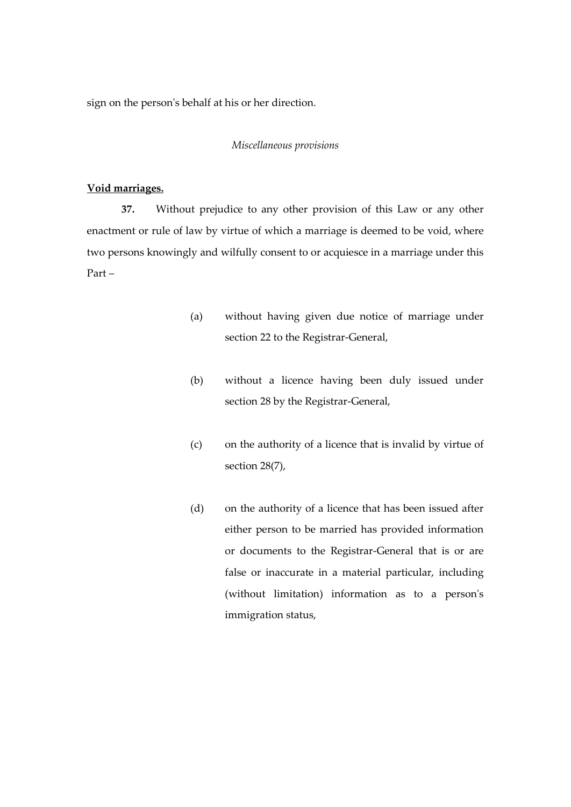sign on the person's behalf at his or her direction.

#### *Miscellaneous provisions*

## **Void marriages.**

**37.** Without prejudice to any other provision of this Law or any other enactment or rule of law by virtue of which a marriage is deemed to be void, where two persons knowingly and wilfully consent to or acquiesce in a marriage under this Part –

- (a) without having given due notice of marriage under section 22 to the Registrar-General,
- (b) without a licence having been duly issued under section 28 by the Registrar-General,
- (c) on the authority of a licence that is invalid by virtue of section 28(7),
- (d) on the authority of a licence that has been issued after either person to be married has provided information or documents to the Registrar-General that is or are false or inaccurate in a material particular, including (without limitation) information as to a person's immigration status,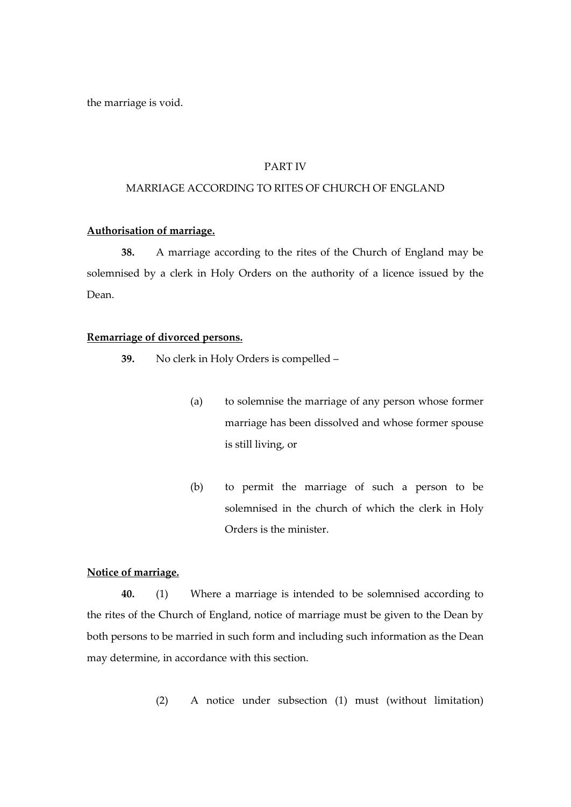the marriage is void.

#### PART IV

## MARRIAGE ACCORDING TO RITES OF CHURCH OF ENGLAND

## **Authorisation of marriage.**

**38.** A marriage according to the rites of the Church of England may be solemnised by a clerk in Holy Orders on the authority of a licence issued by the Dean.

#### **Remarriage of divorced persons.**

**39.** No clerk in Holy Orders is compelled –

- (a) to solemnise the marriage of any person whose former marriage has been dissolved and whose former spouse is still living, or
- (b) to permit the marriage of such a person to be solemnised in the church of which the clerk in Holy Orders is the minister.

# **Notice of marriage.**

**40.** (1) Where a marriage is intended to be solemnised according to the rites of the Church of England, notice of marriage must be given to the Dean by both persons to be married in such form and including such information as the Dean may determine, in accordance with this section.

(2) A notice under subsection (1) must (without limitation)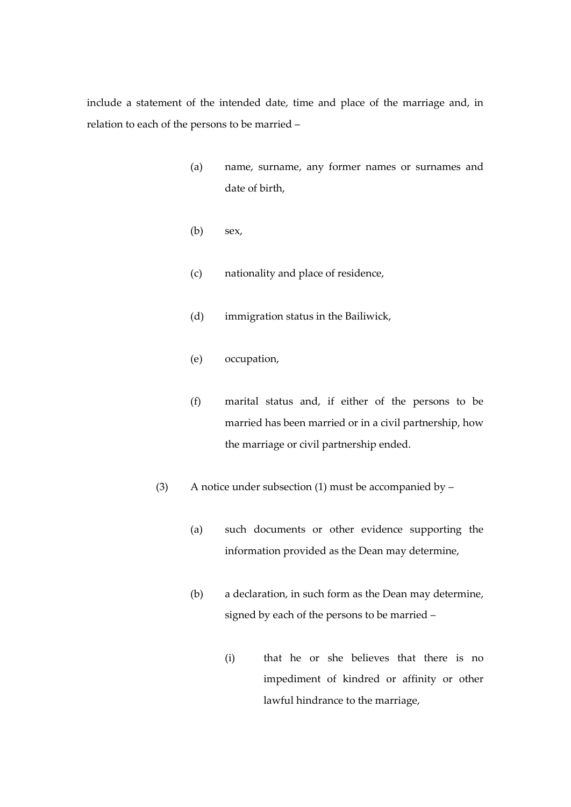include a statement of the intended date, time and place of the marriage and, in relation to each of the persons to be married –

- (a) name, surname, any former names or surnames and date of birth,
- (b) sex,
- (c) nationality and place of residence,
- (d) immigration status in the Bailiwick,
- (e) occupation,
- (f) marital status and, if either of the persons to be married has been married or in a civil partnership, how the marriage or civil partnership ended.
- (3) A notice under subsection (1) must be accompanied by  $-$ 
	- (a) such documents or other evidence supporting the information provided as the Dean may determine,
	- (b) a declaration, in such form as the Dean may determine, signed by each of the persons to be married –
		- (i) that he or she believes that there is no impediment of kindred or affinity or other lawful hindrance to the marriage,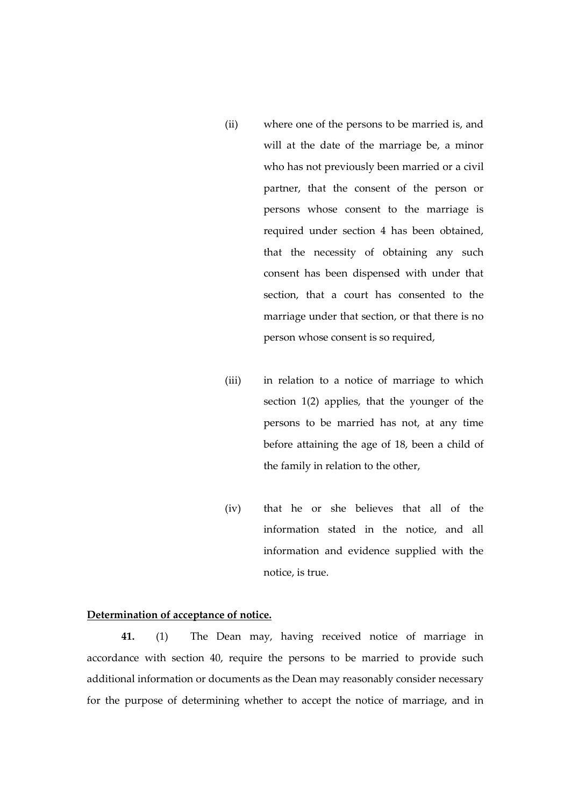- (ii) where one of the persons to be married is, and will at the date of the marriage be, a minor who has not previously been married or a civil partner, that the consent of the person or persons whose consent to the marriage is required under section 4 has been obtained, that the necessity of obtaining any such consent has been dispensed with under that section, that a court has consented to the marriage under that section, or that there is no person whose consent is so required,
- (iii) in relation to a notice of marriage to which section 1(2) applies, that the younger of the persons to be married has not, at any time before attaining the age of 18, been a child of the family in relation to the other,
- (iv) that he or she believes that all of the information stated in the notice, and all information and evidence supplied with the notice, is true.

## **Determination of acceptance of notice.**

**41.** (1) The Dean may, having received notice of marriage in accordance with section 40, require the persons to be married to provide such additional information or documents as the Dean may reasonably consider necessary for the purpose of determining whether to accept the notice of marriage, and in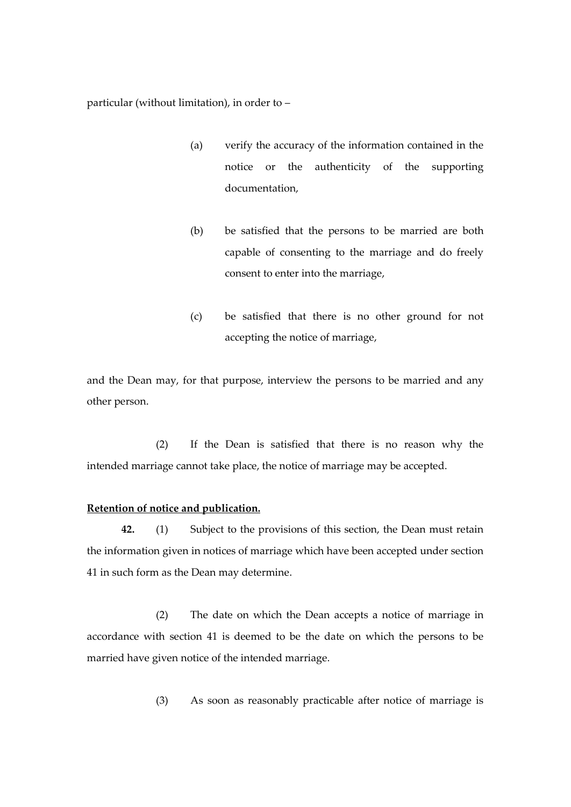particular (without limitation), in order to –

- (a) verify the accuracy of the information contained in the notice or the authenticity of the supporting documentation,
- (b) be satisfied that the persons to be married are both capable of consenting to the marriage and do freely consent to enter into the marriage,
- (c) be satisfied that there is no other ground for not accepting the notice of marriage,

and the Dean may, for that purpose, interview the persons to be married and any other person.

(2) If the Dean is satisfied that there is no reason why the intended marriage cannot take place, the notice of marriage may be accepted.

#### **Retention of notice and publication.**

**42.** (1) Subject to the provisions of this section, the Dean must retain the information given in notices of marriage which have been accepted under section 41 in such form as the Dean may determine.

(2) The date on which the Dean accepts a notice of marriage in accordance with section 41 is deemed to be the date on which the persons to be married have given notice of the intended marriage.

(3) As soon as reasonably practicable after notice of marriage is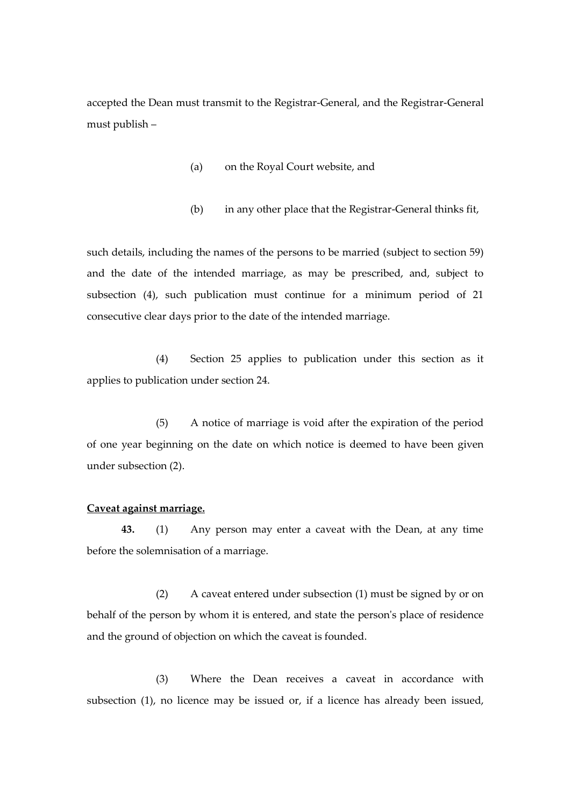accepted the Dean must transmit to the Registrar-General, and the Registrar-General must publish –

- (a) on the Royal Court website, and
- (b) in any other place that the Registrar-General thinks fit,

such details, including the names of the persons to be married (subject to section 59) and the date of the intended marriage, as may be prescribed, and, subject to subsection (4), such publication must continue for a minimum period of 21 consecutive clear days prior to the date of the intended marriage.

(4) Section 25 applies to publication under this section as it applies to publication under section 24.

(5) A notice of marriage is void after the expiration of the period of one year beginning on the date on which notice is deemed to have been given under subsection (2).

#### **Caveat against marriage.**

**43.** (1) Any person may enter a caveat with the Dean, at any time before the solemnisation of a marriage.

(2) A caveat entered under subsection (1) must be signed by or on behalf of the person by whom it is entered, and state the person's place of residence and the ground of objection on which the caveat is founded.

(3) Where the Dean receives a caveat in accordance with subsection (1), no licence may be issued or, if a licence has already been issued,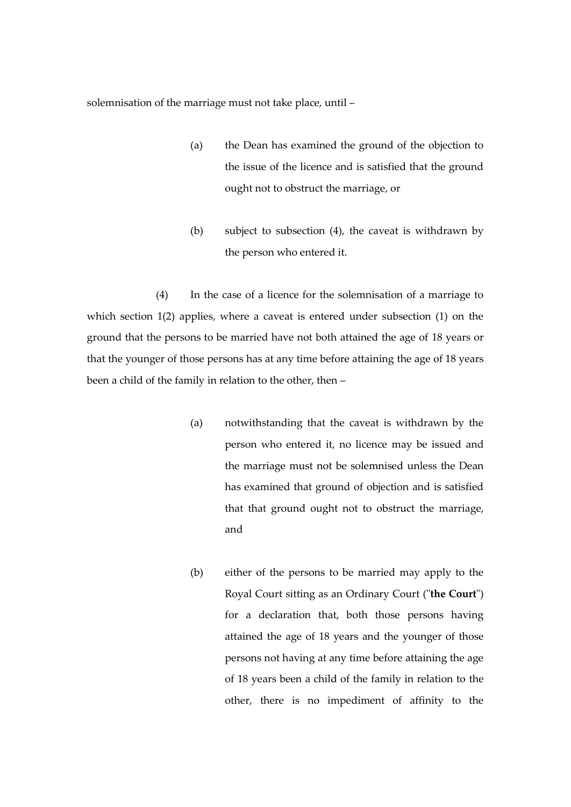solemnisation of the marriage must not take place, until –

- (a) the Dean has examined the ground of the objection to the issue of the licence and is satisfied that the ground ought not to obstruct the marriage, or
- (b) subject to subsection (4), the caveat is withdrawn by the person who entered it.

(4) In the case of a licence for the solemnisation of a marriage to which section 1(2) applies, where a caveat is entered under subsection (1) on the ground that the persons to be married have not both attained the age of 18 years or that the younger of those persons has at any time before attaining the age of 18 years been a child of the family in relation to the other, then –

- (a) notwithstanding that the caveat is withdrawn by the person who entered it, no licence may be issued and the marriage must not be solemnised unless the Dean has examined that ground of objection and is satisfied that that ground ought not to obstruct the marriage, and
- (b) either of the persons to be married may apply to the Royal Court sitting as an Ordinary Court ("**the Court**") for a declaration that, both those persons having attained the age of 18 years and the younger of those persons not having at any time before attaining the age of 18 years been a child of the family in relation to the other, there is no impediment of affinity to the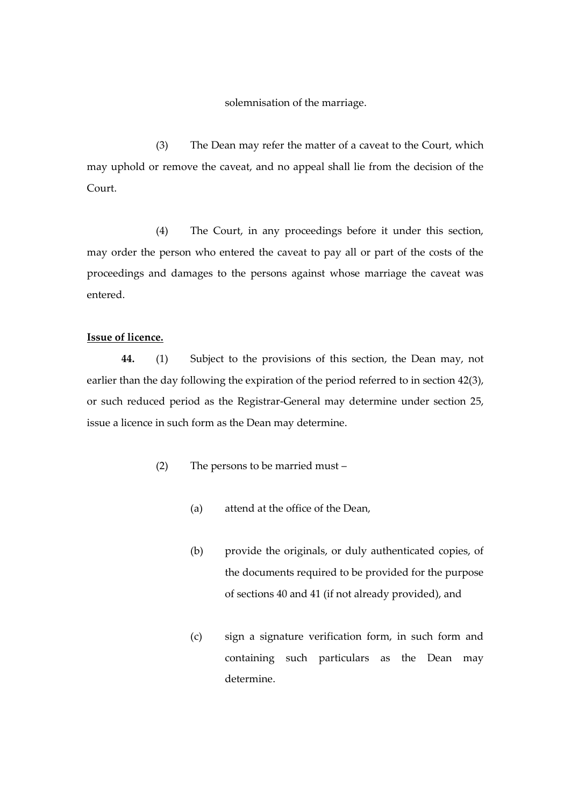solemnisation of the marriage.

(3) The Dean may refer the matter of a caveat to the Court, which may uphold or remove the caveat, and no appeal shall lie from the decision of the Court.

(4) The Court, in any proceedings before it under this section, may order the person who entered the caveat to pay all or part of the costs of the proceedings and damages to the persons against whose marriage the caveat was entered.

## **Issue of licence.**

**44.** (1) Subject to the provisions of this section, the Dean may, not earlier than the day following the expiration of the period referred to in section 42(3), or such reduced period as the Registrar-General may determine under section 25, issue a licence in such form as the Dean may determine.

- (2) The persons to be married must
	- (a) attend at the office of the Dean,
	- (b) provide the originals, or duly authenticated copies, of the documents required to be provided for the purpose of sections 40 and 41 (if not already provided), and
	- (c) sign a signature verification form, in such form and containing such particulars as the Dean may determine.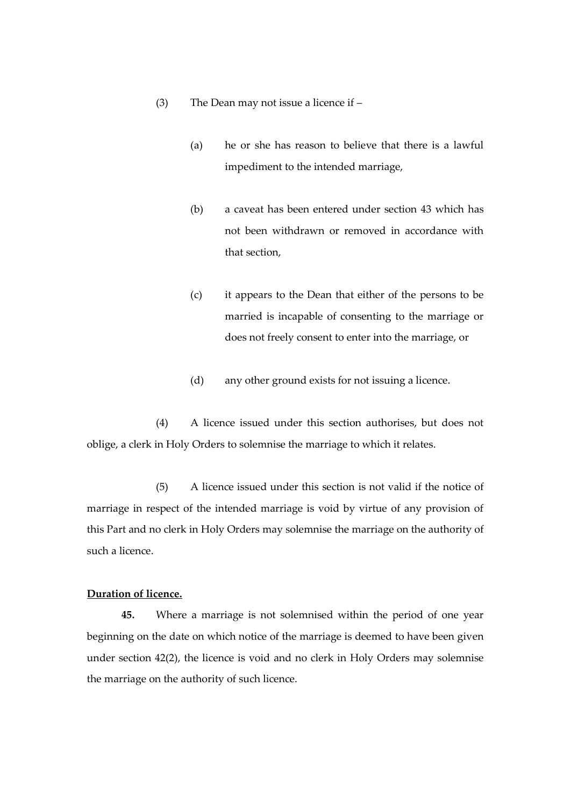- (3) The Dean may not issue a licence if
	- (a) he or she has reason to believe that there is a lawful impediment to the intended marriage,
	- (b) a caveat has been entered under section 43 which has not been withdrawn or removed in accordance with that section,
	- (c) it appears to the Dean that either of the persons to be married is incapable of consenting to the marriage or does not freely consent to enter into the marriage, or
	- (d) any other ground exists for not issuing a licence.

(4) A licence issued under this section authorises, but does not oblige, a clerk in Holy Orders to solemnise the marriage to which it relates.

(5) A licence issued under this section is not valid if the notice of marriage in respect of the intended marriage is void by virtue of any provision of this Part and no clerk in Holy Orders may solemnise the marriage on the authority of such a licence.

# **Duration of licence.**

**45.** Where a marriage is not solemnised within the period of one year beginning on the date on which notice of the marriage is deemed to have been given under section 42(2), the licence is void and no clerk in Holy Orders may solemnise the marriage on the authority of such licence.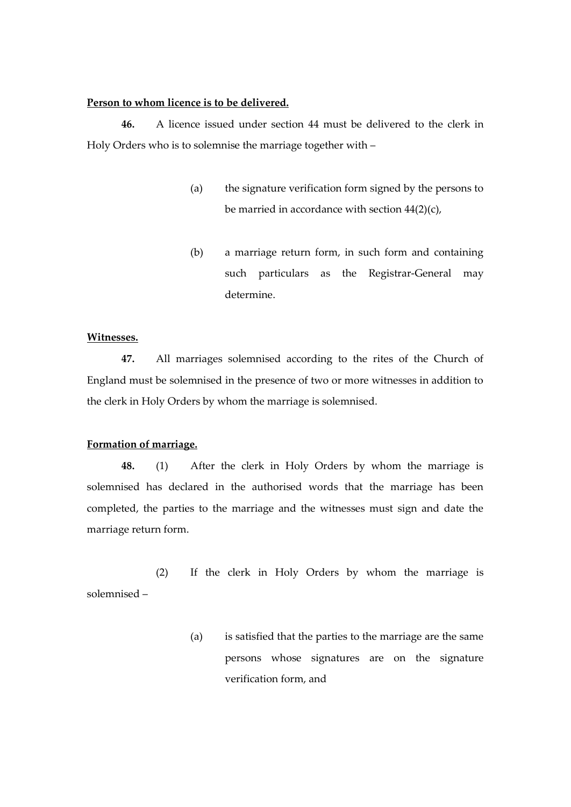#### **Person to whom licence is to be delivered.**

**46.** A licence issued under section 44 must be delivered to the clerk in Holy Orders who is to solemnise the marriage together with –

- (a) the signature verification form signed by the persons to be married in accordance with section 44(2)(c),
- (b) a marriage return form, in such form and containing such particulars as the Registrar-General may determine.

#### **Witnesses.**

**47.** All marriages solemnised according to the rites of the Church of England must be solemnised in the presence of two or more witnesses in addition to the clerk in Holy Orders by whom the marriage is solemnised.

#### **Formation of marriage.**

**48.** (1) After the clerk in Holy Orders by whom the marriage is solemnised has declared in the authorised words that the marriage has been completed, the parties to the marriage and the witnesses must sign and date the marriage return form.

(2) If the clerk in Holy Orders by whom the marriage is solemnised –

> (a) is satisfied that the parties to the marriage are the same persons whose signatures are on the signature verification form, and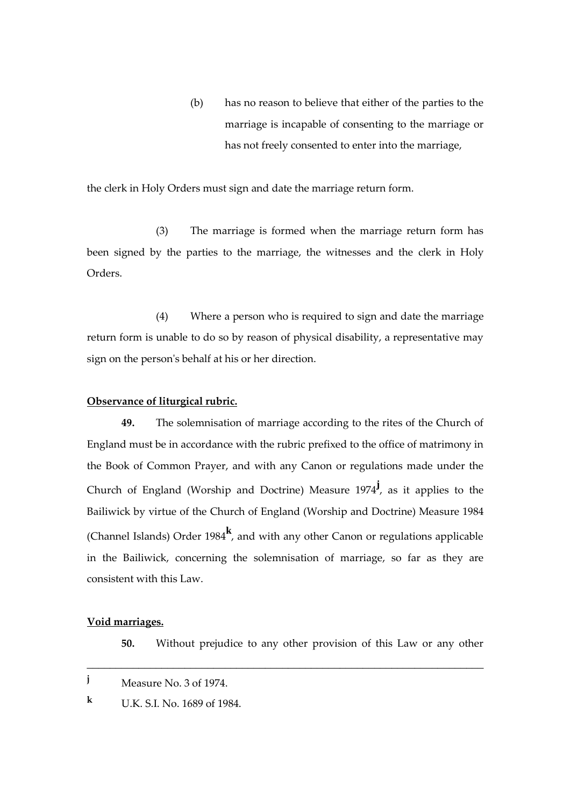(b) has no reason to believe that either of the parties to the marriage is incapable of consenting to the marriage or has not freely consented to enter into the marriage,

the clerk in Holy Orders must sign and date the marriage return form.

(3) The marriage is formed when the marriage return form has been signed by the parties to the marriage, the witnesses and the clerk in Holy Orders.

(4) Where a person who is required to sign and date the marriage return form is unable to do so by reason of physical disability, a representative may sign on the person's behalf at his or her direction.

## **Observance of liturgical rubric.**

**49.** The solemnisation of marriage according to the rites of the Church of England must be in accordance with the rubric prefixed to the office of matrimony in the Book of Common Prayer, and with any Canon or regulations made under the Church of England (Worship and Doctrine) Measure 1974**<sup>j</sup>** , as it applies to the Bailiwick by virtue of the Church of England (Worship and Doctrine) Measure 1984 (Channel Islands) Order 1984**<sup>k</sup>** , and with any other Canon or regulations applicable in the Bailiwick, concerning the solemnisation of marriage, so far as they are consistent with this Law.

#### **Void marriages.**

**50.** Without prejudice to any other provision of this Law or any other

\_\_\_\_\_\_\_\_\_\_\_\_\_\_\_\_\_\_\_\_\_\_\_\_\_\_\_\_\_\_\_\_\_\_\_\_\_\_\_\_\_\_\_\_\_\_\_\_\_\_\_\_\_\_\_\_\_\_\_\_\_\_\_\_\_\_\_\_\_

**<sup>k</sup>** U.K. S.I. No. 1689 of 1984.

**<sup>j</sup>** Measure No. 3 of 1974.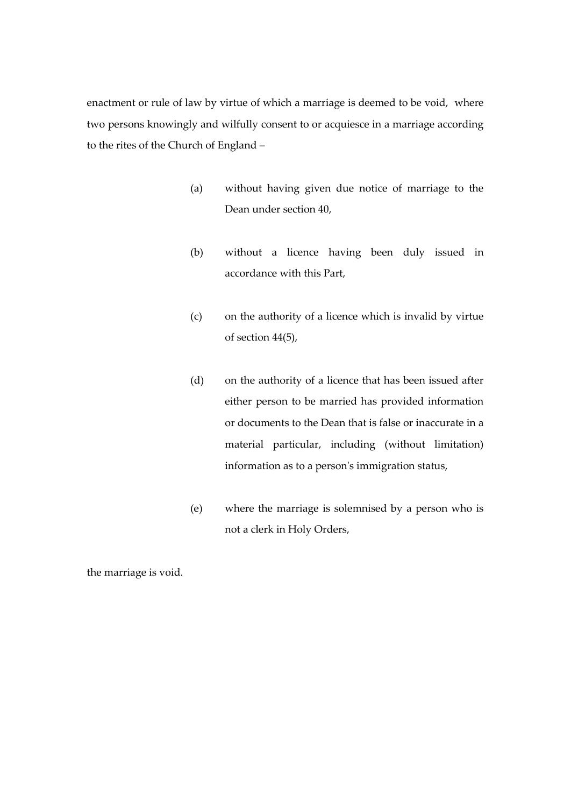enactment or rule of law by virtue of which a marriage is deemed to be void, where two persons knowingly and wilfully consent to or acquiesce in a marriage according to the rites of the Church of England –

- (a) without having given due notice of marriage to the Dean under section 40,
- (b) without a licence having been duly issued in accordance with this Part,
- (c) on the authority of a licence which is invalid by virtue of section 44(5),
- (d) on the authority of a licence that has been issued after either person to be married has provided information or documents to the Dean that is false or inaccurate in a material particular, including (without limitation) information as to a person's immigration status,
- (e) where the marriage is solemnised by a person who is not a clerk in Holy Orders,

the marriage is void.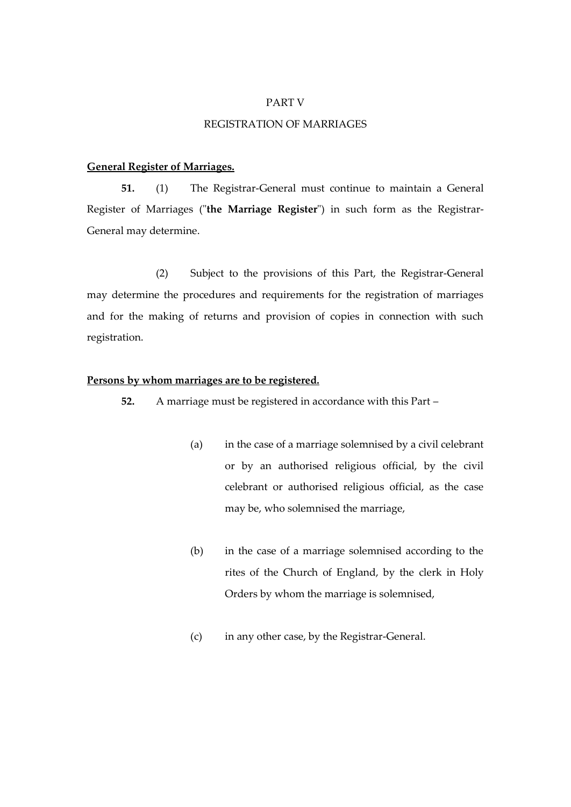#### PART V

## REGISTRATION OF MARRIAGES

## **General Register of Marriages.**

**51.** (1) The Registrar-General must continue to maintain a General Register of Marriages ("**the Marriage Register**") in such form as the Registrar-General may determine.

(2) Subject to the provisions of this Part, the Registrar-General may determine the procedures and requirements for the registration of marriages and for the making of returns and provision of copies in connection with such registration.

### **Persons by whom marriages are to be registered.**

**52.** A marriage must be registered in accordance with this Part –

- (a) in the case of a marriage solemnised by a civil celebrant or by an authorised religious official, by the civil celebrant or authorised religious official, as the case may be, who solemnised the marriage,
- (b) in the case of a marriage solemnised according to the rites of the Church of England, by the clerk in Holy Orders by whom the marriage is solemnised,
- (c) in any other case, by the Registrar-General.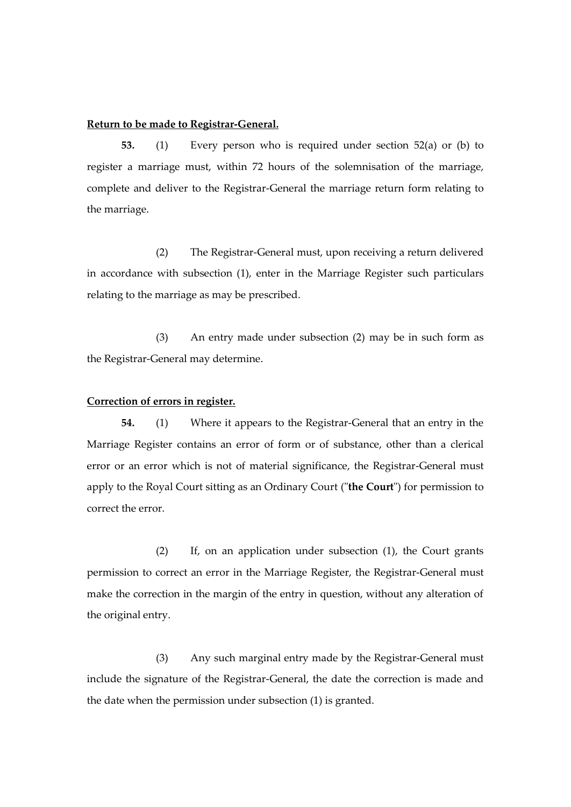## **Return to be made to Registrar-General.**

**53.** (1) Every person who is required under section 52(a) or (b) to register a marriage must, within 72 hours of the solemnisation of the marriage, complete and deliver to the Registrar-General the marriage return form relating to the marriage.

(2) The Registrar-General must, upon receiving a return delivered in accordance with subsection (1), enter in the Marriage Register such particulars relating to the marriage as may be prescribed.

(3) An entry made under subsection (2) may be in such form as the Registrar-General may determine.

## **Correction of errors in register.**

**54.** (1) Where it appears to the Registrar-General that an entry in the Marriage Register contains an error of form or of substance, other than a clerical error or an error which is not of material significance, the Registrar-General must apply to the Royal Court sitting as an Ordinary Court ("**the Court**") for permission to correct the error.

(2) If, on an application under subsection (1), the Court grants permission to correct an error in the Marriage Register, the Registrar-General must make the correction in the margin of the entry in question, without any alteration of the original entry.

(3) Any such marginal entry made by the Registrar-General must include the signature of the Registrar-General, the date the correction is made and the date when the permission under subsection (1) is granted.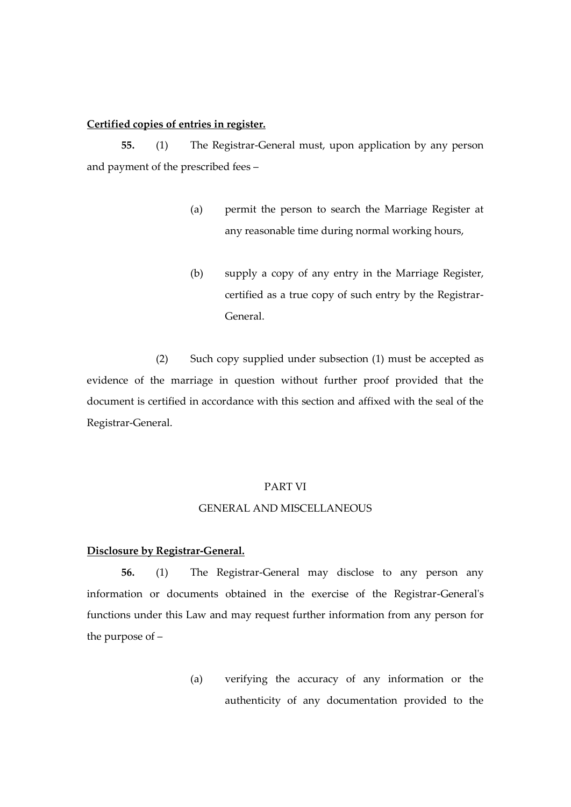## **Certified copies of entries in register.**

**55.** (1) The Registrar-General must, upon application by any person and payment of the prescribed fees –

- (a) permit the person to search the Marriage Register at any reasonable time during normal working hours,
- (b) supply a copy of any entry in the Marriage Register, certified as a true copy of such entry by the Registrar-General.

(2) Such copy supplied under subsection (1) must be accepted as evidence of the marriage in question without further proof provided that the document is certified in accordance with this section and affixed with the seal of the Registrar-General.

### PART VI

#### GENERAL AND MISCELLANEOUS

### **Disclosure by Registrar-General.**

**56.** (1) The Registrar-General may disclose to any person any information or documents obtained in the exercise of the Registrar-General's functions under this Law and may request further information from any person for the purpose of –

> (a) verifying the accuracy of any information or the authenticity of any documentation provided to the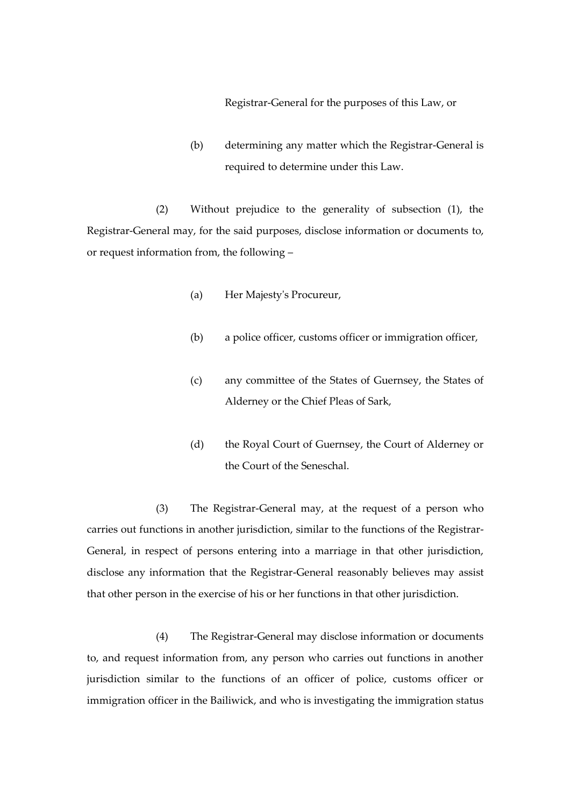Registrar-General for the purposes of this Law, or

(b) determining any matter which the Registrar-General is required to determine under this Law.

(2) Without prejudice to the generality of subsection (1), the Registrar-General may, for the said purposes, disclose information or documents to, or request information from, the following –

- (a) Her Majesty's Procureur,
- (b) a police officer, customs officer or immigration officer,
- (c) any committee of the States of Guernsey, the States of Alderney or the Chief Pleas of Sark,
- (d) the Royal Court of Guernsey, the Court of Alderney or the Court of the Seneschal.

(3) The Registrar-General may, at the request of a person who carries out functions in another jurisdiction, similar to the functions of the Registrar-General, in respect of persons entering into a marriage in that other jurisdiction, disclose any information that the Registrar-General reasonably believes may assist that other person in the exercise of his or her functions in that other jurisdiction.

(4) The Registrar-General may disclose information or documents to, and request information from, any person who carries out functions in another jurisdiction similar to the functions of an officer of police, customs officer or immigration officer in the Bailiwick, and who is investigating the immigration status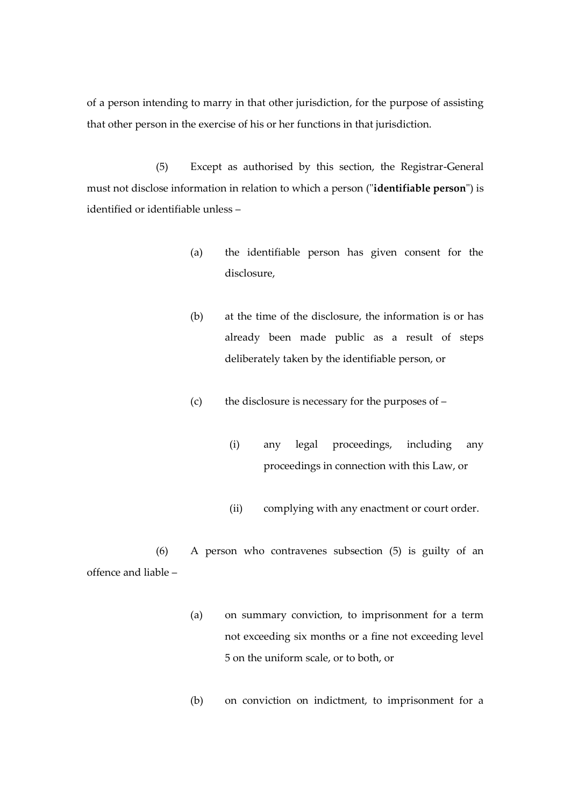of a person intending to marry in that other jurisdiction, for the purpose of assisting that other person in the exercise of his or her functions in that jurisdiction.

(5) Except as authorised by this section, the Registrar-General must not disclose information in relation to which a person ("**identifiable person**") is identified or identifiable unless –

- (a) the identifiable person has given consent for the disclosure,
- (b) at the time of the disclosure, the information is or has already been made public as a result of steps deliberately taken by the identifiable person, or
- (c) the disclosure is necessary for the purposes of
	- (i) any legal proceedings, including any proceedings in connection with this Law, or
	- (ii) complying with any enactment or court order.

(6) A person who contravenes subsection (5) is guilty of an offence and liable –

- (a) on summary conviction, to imprisonment for a term not exceeding six months or a fine not exceeding level 5 on the uniform scale, or to both, or
- (b) on conviction on indictment, to imprisonment for a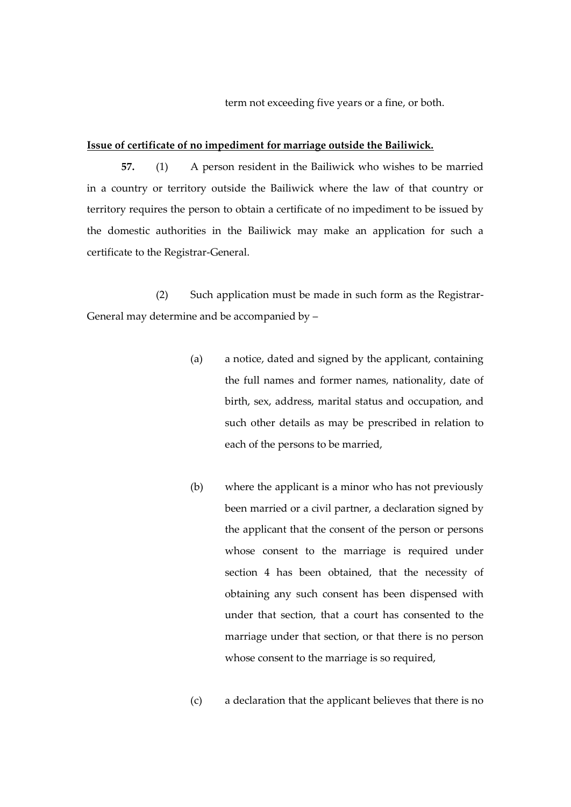term not exceeding five years or a fine, or both.

#### **Issue of certificate of no impediment for marriage outside the Bailiwick.**

**57.** (1) A person resident in the Bailiwick who wishes to be married in a country or territory outside the Bailiwick where the law of that country or territory requires the person to obtain a certificate of no impediment to be issued by the domestic authorities in the Bailiwick may make an application for such a certificate to the Registrar-General.

(2) Such application must be made in such form as the Registrar-General may determine and be accompanied by –

- (a) a notice, dated and signed by the applicant, containing the full names and former names, nationality, date of birth, sex, address, marital status and occupation, and such other details as may be prescribed in relation to each of the persons to be married,
- (b) where the applicant is a minor who has not previously been married or a civil partner, a declaration signed by the applicant that the consent of the person or persons whose consent to the marriage is required under section 4 has been obtained, that the necessity of obtaining any such consent has been dispensed with under that section, that a court has consented to the marriage under that section, or that there is no person whose consent to the marriage is so required,
- (c) a declaration that the applicant believes that there is no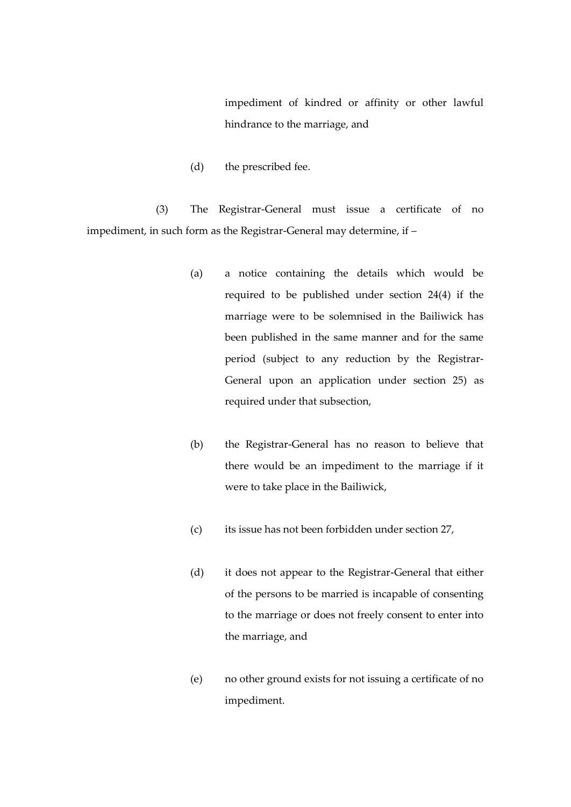impediment of kindred or affinity or other lawful hindrance to the marriage, and

(d) the prescribed fee.

(3) The Registrar-General must issue a certificate of no impediment, in such form as the Registrar-General may determine, if –

- (a) a notice containing the details which would be required to be published under section 24(4) if the marriage were to be solemnised in the Bailiwick has been published in the same manner and for the same period (subject to any reduction by the Registrar-General upon an application under section 25) as required under that subsection,
- (b) the Registrar-General has no reason to believe that there would be an impediment to the marriage if it were to take place in the Bailiwick,
- (c) its issue has not been forbidden under section 27,
- (d) it does not appear to the Registrar-General that either of the persons to be married is incapable of consenting to the marriage or does not freely consent to enter into the marriage, and
- (e) no other ground exists for not issuing a certificate of no impediment.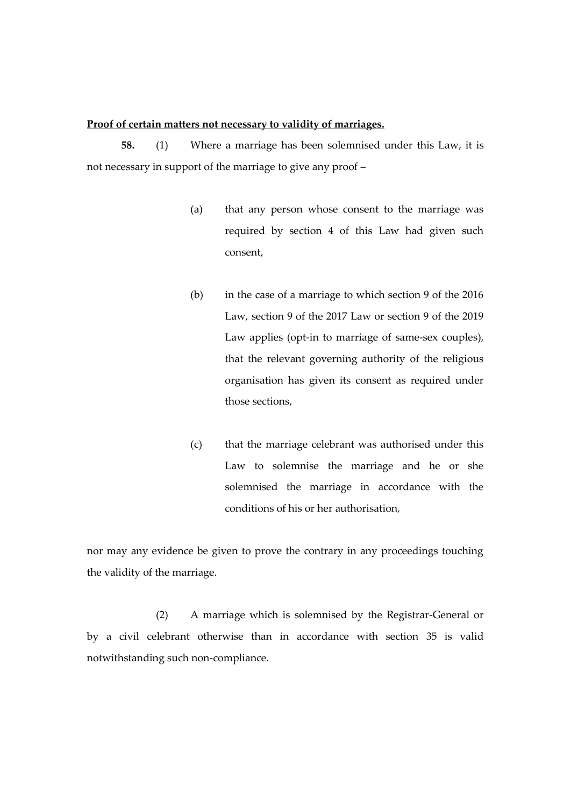## **Proof of certain matters not necessary to validity of marriages.**

**58.** (1) Where a marriage has been solemnised under this Law, it is not necessary in support of the marriage to give any proof –

- (a) that any person whose consent to the marriage was required by section 4 of this Law had given such consent,
- (b) in the case of a marriage to which section 9 of the 2016 Law, section 9 of the 2017 Law or section 9 of the 2019 Law applies (opt-in to marriage of same-sex couples), that the relevant governing authority of the religious organisation has given its consent as required under those sections,
- (c) that the marriage celebrant was authorised under this Law to solemnise the marriage and he or she solemnised the marriage in accordance with the conditions of his or her authorisation,

nor may any evidence be given to prove the contrary in any proceedings touching the validity of the marriage.

(2) A marriage which is solemnised by the Registrar-General or by a civil celebrant otherwise than in accordance with section 35 is valid notwithstanding such non-compliance.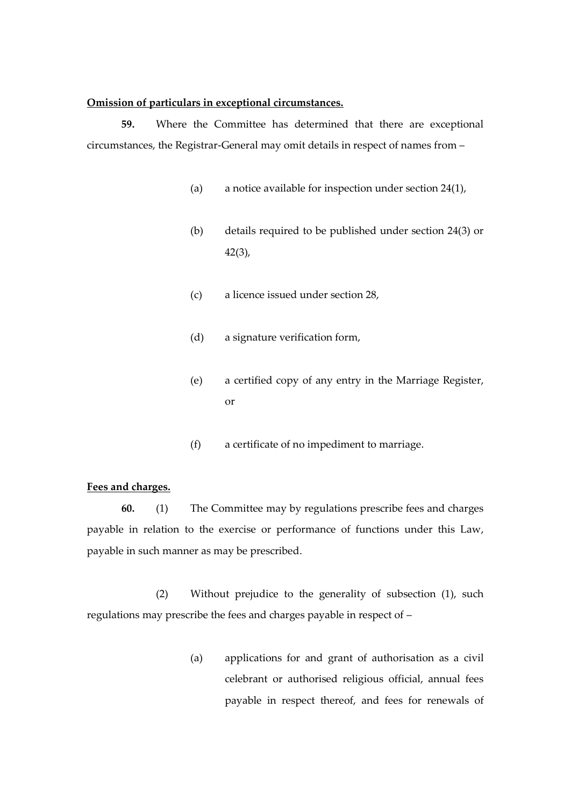#### **Omission of particulars in exceptional circumstances.**

**59.** Where the Committee has determined that there are exceptional circumstances, the Registrar-General may omit details in respect of names from –

- (a) a notice available for inspection under section 24(1),
- (b) details required to be published under section 24(3) or 42(3),
- (c) a licence issued under section 28,
- (d) a signature verification form,
- (e) a certified copy of any entry in the Marriage Register, or
- (f) a certificate of no impediment to marriage.

## **Fees and charges.**

**60.** (1) The Committee may by regulations prescribe fees and charges payable in relation to the exercise or performance of functions under this Law, payable in such manner as may be prescribed.

(2) Without prejudice to the generality of subsection (1), such regulations may prescribe the fees and charges payable in respect of –

> (a) applications for and grant of authorisation as a civil celebrant or authorised religious official, annual fees payable in respect thereof, and fees for renewals of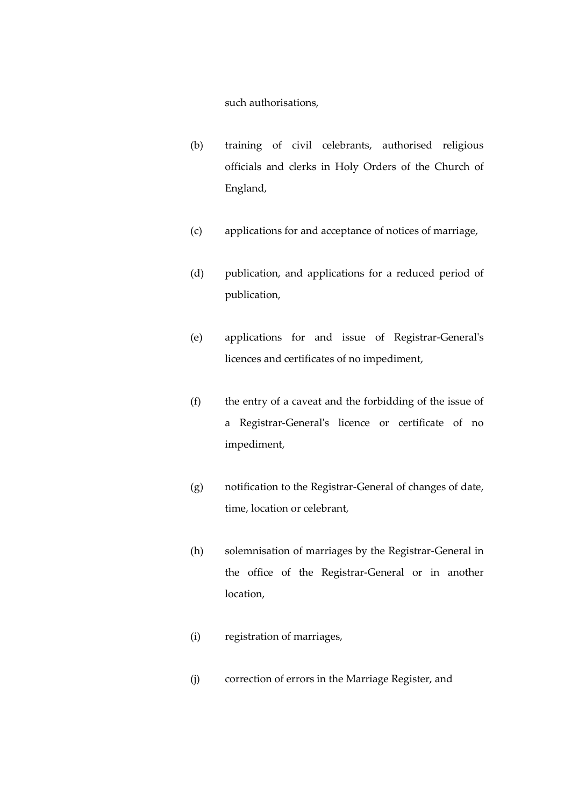such authorisations,

- (b) training of civil celebrants, authorised religious officials and clerks in Holy Orders of the Church of England,
- (c) applications for and acceptance of notices of marriage,
- (d) publication, and applications for a reduced period of publication,
- (e) applications for and issue of Registrar-General's licences and certificates of no impediment,
- (f) the entry of a caveat and the forbidding of the issue of a Registrar-General's licence or certificate of no impediment,
- (g) notification to the Registrar-General of changes of date, time, location or celebrant,
- (h) solemnisation of marriages by the Registrar-General in the office of the Registrar-General or in another location,
- (i) registration of marriages,
- (j) correction of errors in the Marriage Register, and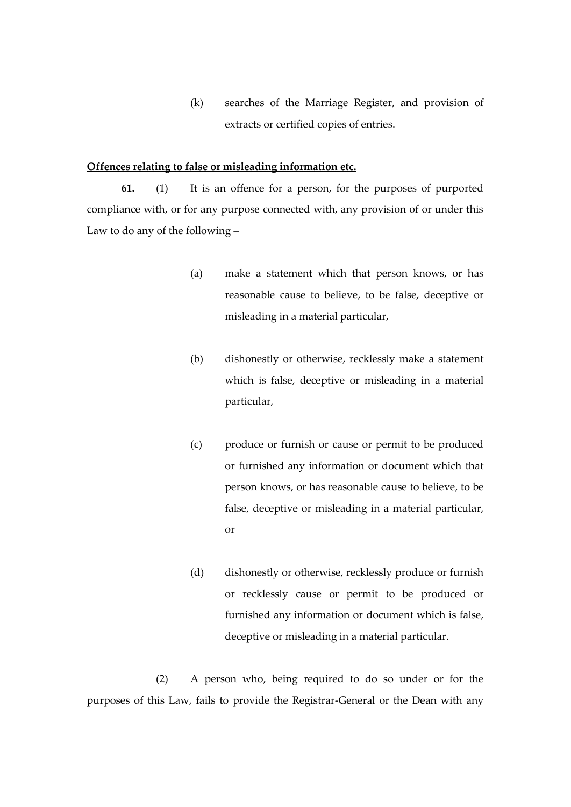(k) searches of the Marriage Register, and provision of extracts or certified copies of entries.

## **Offences relating to false or misleading information etc.**

**61.** (1) It is an offence for a person, for the purposes of purported compliance with, or for any purpose connected with, any provision of or under this Law to do any of the following –

- (a) make a statement which that person knows, or has reasonable cause to believe, to be false, deceptive or misleading in a material particular,
- (b) dishonestly or otherwise, recklessly make a statement which is false, deceptive or misleading in a material particular,
- (c) produce or furnish or cause or permit to be produced or furnished any information or document which that person knows, or has reasonable cause to believe, to be false, deceptive or misleading in a material particular, or
- (d) dishonestly or otherwise, recklessly produce or furnish or recklessly cause or permit to be produced or furnished any information or document which is false, deceptive or misleading in a material particular.

(2) A person who, being required to do so under or for the purposes of this Law, fails to provide the Registrar-General or the Dean with any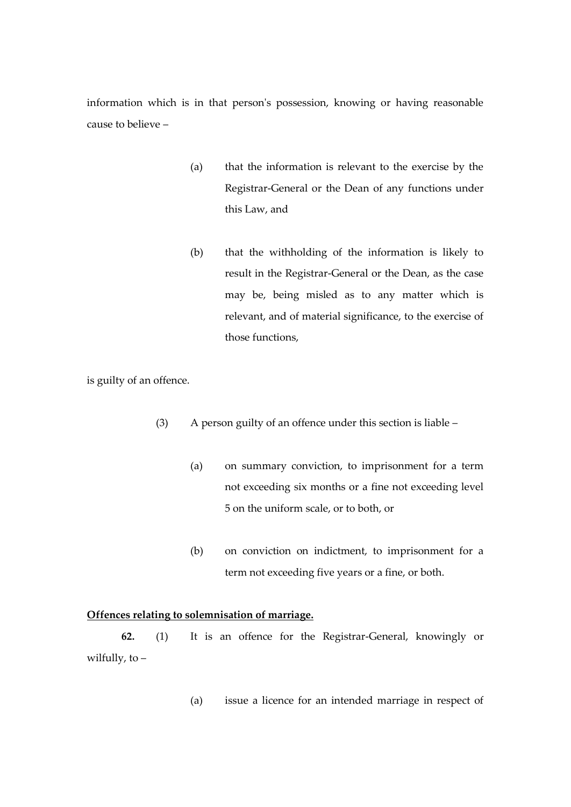information which is in that person's possession, knowing or having reasonable cause to believe –

- (a) that the information is relevant to the exercise by the Registrar-General or the Dean of any functions under this Law, and
- (b) that the withholding of the information is likely to result in the Registrar-General or the Dean, as the case may be, being misled as to any matter which is relevant, and of material significance, to the exercise of those functions,

is guilty of an offence.

- (3) A person guilty of an offence under this section is liable
	- (a) on summary conviction, to imprisonment for a term not exceeding six months or a fine not exceeding level 5 on the uniform scale, or to both, or
	- (b) on conviction on indictment, to imprisonment for a term not exceeding five years or a fine, or both.

# **Offences relating to solemnisation of marriage.**

**62.** (1) It is an offence for the Registrar-General, knowingly or wilfully, to –

(a) issue a licence for an intended marriage in respect of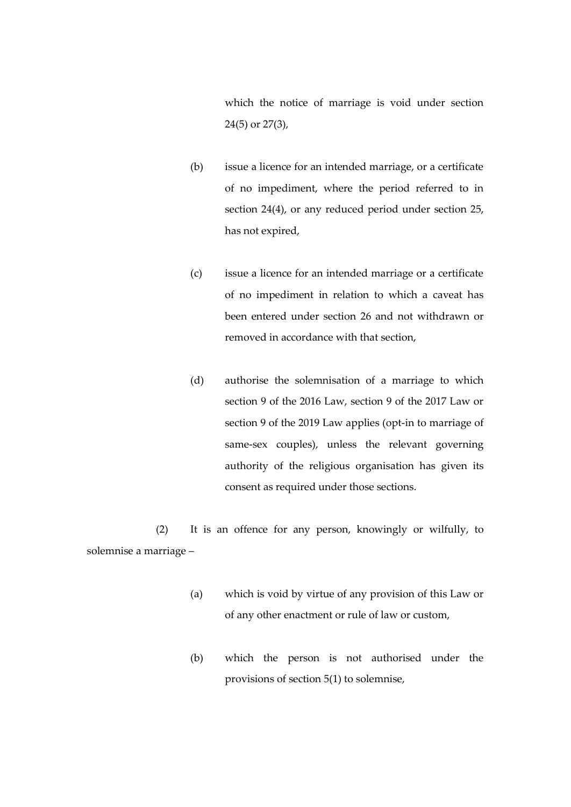which the notice of marriage is void under section 24(5) or 27(3),

- (b) issue a licence for an intended marriage, or a certificate of no impediment, where the period referred to in section 24(4), or any reduced period under section 25, has not expired,
- (c) issue a licence for an intended marriage or a certificate of no impediment in relation to which a caveat has been entered under section 26 and not withdrawn or removed in accordance with that section,
- (d) authorise the solemnisation of a marriage to which section 9 of the 2016 Law, section 9 of the 2017 Law or section 9 of the 2019 Law applies (opt-in to marriage of same-sex couples), unless the relevant governing authority of the religious organisation has given its consent as required under those sections.

(2) It is an offence for any person, knowingly or wilfully, to solemnise a marriage –

- (a) which is void by virtue of any provision of this Law or of any other enactment or rule of law or custom,
- (b) which the person is not authorised under the provisions of section 5(1) to solemnise,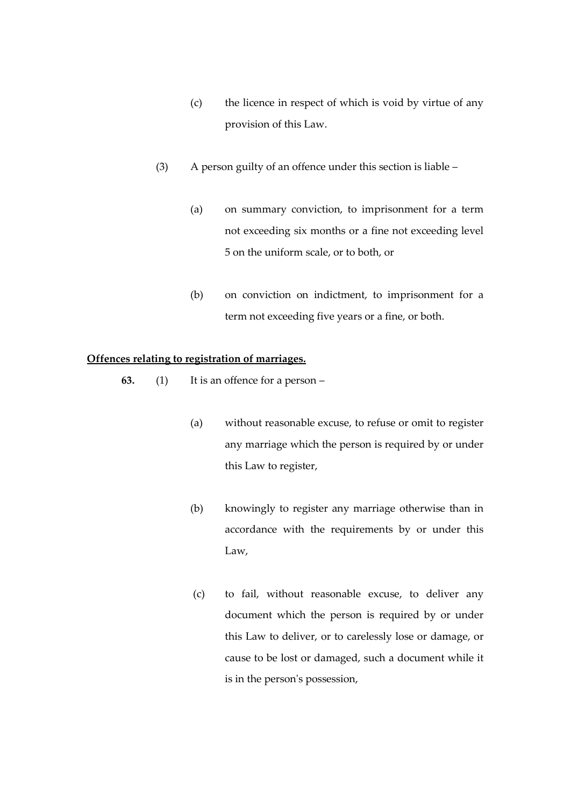- (c) the licence in respect of which is void by virtue of any provision of this Law.
- (3) A person guilty of an offence under this section is liable
	- (a) on summary conviction, to imprisonment for a term not exceeding six months or a fine not exceeding level 5 on the uniform scale, or to both, or
	- (b) on conviction on indictment, to imprisonment for a term not exceeding five years or a fine, or both.

## **Offences relating to registration of marriages.**

- **63.** (1) It is an offence for a person
	- (a) without reasonable excuse, to refuse or omit to register any marriage which the person is required by or under this Law to register,
	- (b) knowingly to register any marriage otherwise than in accordance with the requirements by or under this Law,
	- (c) to fail, without reasonable excuse, to deliver any document which the person is required by or under this Law to deliver, or to carelessly lose or damage, or cause to be lost or damaged, such a document while it is in the person's possession,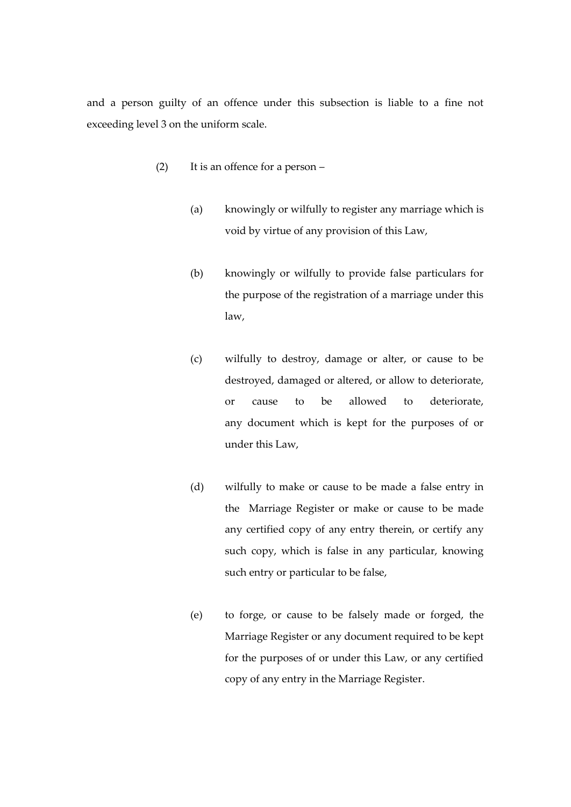and a person guilty of an offence under this subsection is liable to a fine not exceeding level 3 on the uniform scale.

- (2) It is an offence for a person
	- (a) knowingly or wilfully to register any marriage which is void by virtue of any provision of this Law,
	- (b) knowingly or wilfully to provide false particulars for the purpose of the registration of a marriage under this law,
	- (c) wilfully to destroy, damage or alter, or cause to be destroyed, damaged or altered, or allow to deteriorate, or cause to be allowed to deteriorate, any document which is kept for the purposes of or under this Law,
	- (d) wilfully to make or cause to be made a false entry in the Marriage Register or make or cause to be made any certified copy of any entry therein, or certify any such copy, which is false in any particular, knowing such entry or particular to be false,
	- (e) to forge, or cause to be falsely made or forged, the Marriage Register or any document required to be kept for the purposes of or under this Law, or any certified copy of any entry in the Marriage Register.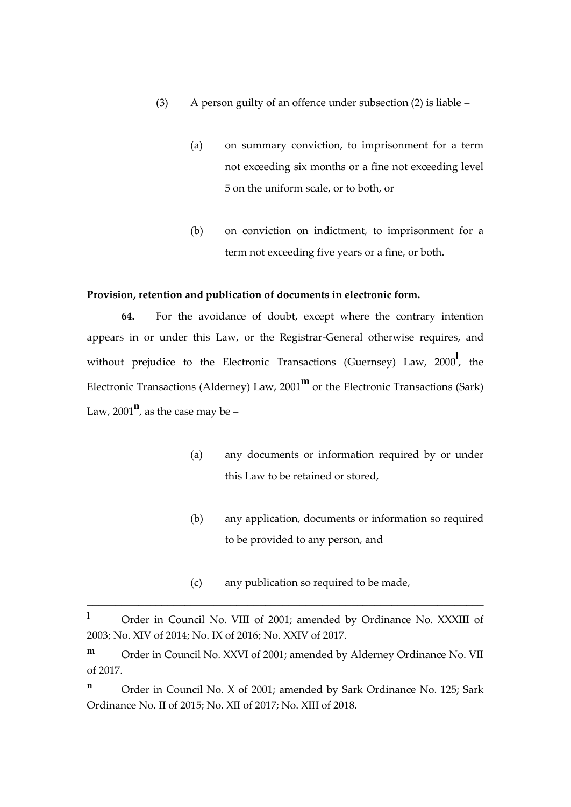- (3) A person guilty of an offence under subsection (2) is liable
	- (a) on summary conviction, to imprisonment for a term not exceeding six months or a fine not exceeding level 5 on the uniform scale, or to both, or
	- (b) on conviction on indictment, to imprisonment for a term not exceeding five years or a fine, or both.

### **Provision, retention and publication of documents in electronic form.**

**64.** For the avoidance of doubt, except where the contrary intention appears in or under this Law, or the Registrar-General otherwise requires, and without prejudice to the Electronic Transactions (Guernsey) Law, 2000**<sup>l</sup>** , the Electronic Transactions (Alderney) Law, 2001**<sup>m</sup>** or the Electronic Transactions (Sark) Law, 2001 $^{\mathbf{n}}$ , as the case may be –

- (a) any documents or information required by or under this Law to be retained or stored,
- (b) any application, documents or information so required to be provided to any person, and
- (c) any publication so required to be made,

\_\_\_\_\_\_\_\_\_\_\_\_\_\_\_\_\_\_\_\_\_\_\_\_\_\_\_\_\_\_\_\_\_\_\_\_\_\_\_\_\_\_\_\_\_\_\_\_\_\_\_\_\_\_\_\_\_\_\_\_\_\_\_\_\_\_\_\_\_

**n** Order in Council No. X of 2001; amended by Sark Ordinance No. 125; Sark Ordinance No. II of 2015; No. XII of 2017; No. XIII of 2018.

<sup>&</sup>lt;sup>1</sup> Order in Council No. VIII of 2001; amended by Ordinance No. XXXIII of 2003; No. XIV of 2014; No. IX of 2016; No. XXIV of 2017.

**m** Order in Council No. XXVI of 2001; amended by Alderney Ordinance No. VII of 2017.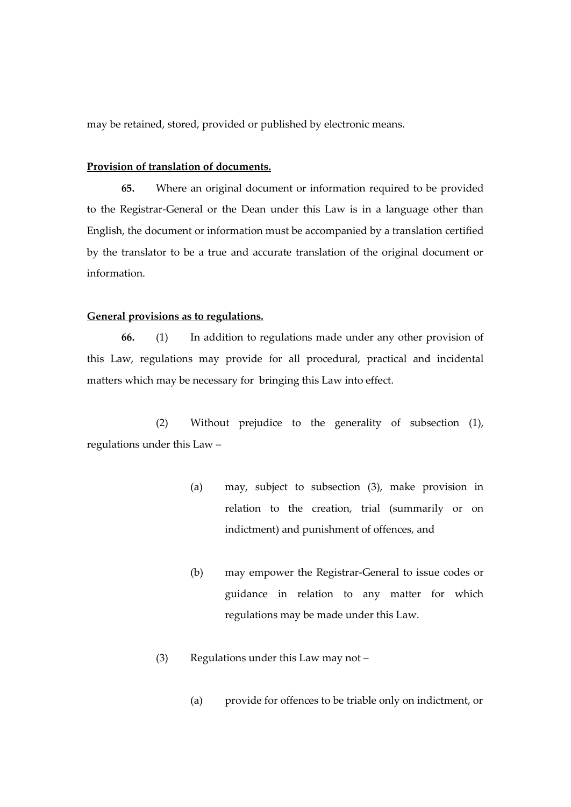may be retained, stored, provided or published by electronic means.

## **Provision of translation of documents.**

**65.** Where an original document or information required to be provided to the Registrar-General or the Dean under this Law is in a language other than English, the document or information must be accompanied by a translation certified by the translator to be a true and accurate translation of the original document or information.

### **General provisions as to regulations.**

**66.** (1) In addition to regulations made under any other provision of this Law, regulations may provide for all procedural, practical and incidental matters which may be necessary for bringing this Law into effect.

(2) Without prejudice to the generality of subsection (1), regulations under this Law –

- (a) may, subject to subsection (3), make provision in relation to the creation, trial (summarily or on indictment) and punishment of offences, and
- (b) may empower the Registrar-General to issue codes or guidance in relation to any matter for which regulations may be made under this Law.
- (3) Regulations under this Law may not
	- (a) provide for offences to be triable only on indictment, or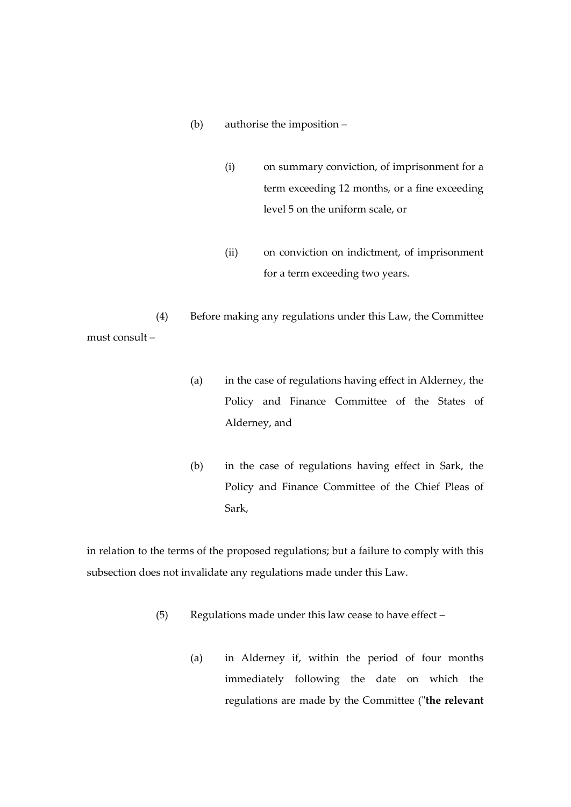- (b) authorise the imposition
	- (i) on summary conviction, of imprisonment for a term exceeding 12 months, or a fine exceeding level 5 on the uniform scale, or
	- (ii) on conviction on indictment, of imprisonment for a term exceeding two years.

(4) Before making any regulations under this Law, the Committee must consult –

- (a) in the case of regulations having effect in Alderney, the Policy and Finance Committee of the States of Alderney, and
- (b) in the case of regulations having effect in Sark, the Policy and Finance Committee of the Chief Pleas of Sark,

in relation to the terms of the proposed regulations; but a failure to comply with this subsection does not invalidate any regulations made under this Law.

- (5) Regulations made under this law cease to have effect
	- (a) in Alderney if, within the period of four months immediately following the date on which the regulations are made by the Committee ("**the relevant**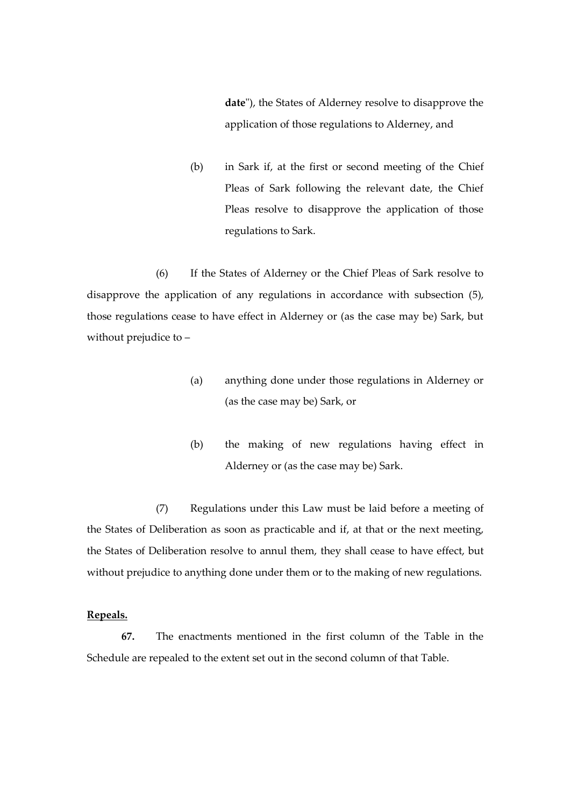**date**"), the States of Alderney resolve to disapprove the application of those regulations to Alderney, and

(b) in Sark if, at the first or second meeting of the Chief Pleas of Sark following the relevant date, the Chief Pleas resolve to disapprove the application of those regulations to Sark.

(6) If the States of Alderney or the Chief Pleas of Sark resolve to disapprove the application of any regulations in accordance with subsection (5), those regulations cease to have effect in Alderney or (as the case may be) Sark, but without prejudice to –

- (a) anything done under those regulations in Alderney or (as the case may be) Sark, or
- (b) the making of new regulations having effect in Alderney or (as the case may be) Sark.

(7) Regulations under this Law must be laid before a meeting of the States of Deliberation as soon as practicable and if, at that or the next meeting, the States of Deliberation resolve to annul them, they shall cease to have effect, but without prejudice to anything done under them or to the making of new regulations.

### **Repeals.**

**67.** The enactments mentioned in the first column of the Table in the Schedule are repealed to the extent set out in the second column of that Table.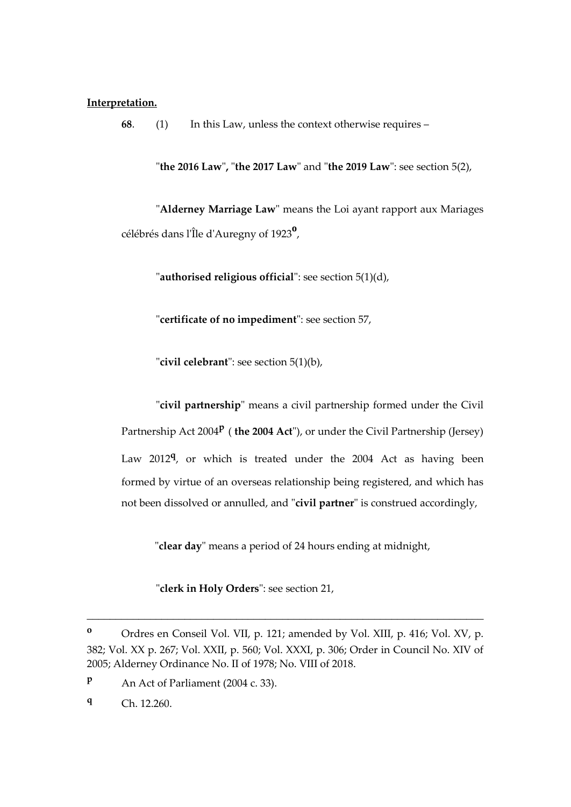#### **Interpretation.**

**68**. (1) In this Law, unless the context otherwise requires –

"**the 2016 Law**"**,** "**the 2017 Law**" and "**the 2019 Law**": see section 5(2),

"**Alderney Marriage Law**" means the Loi ayant rapport aux Mariages célébrés dans l'Île d'Auregny of 1923**<sup>o</sup>** ,

"**authorised religious official**": see section 5(1)(d),

"**certificate of no impediment**": see section 57,

"**civil celebrant**": see section 5(1)(b),

"**civil partnership**" means a civil partnership formed under the Civil Partnership Act 2004<sup>P</sup> (the 2004 Act"), or under the Civil Partnership (Jersey) Law 2012**<sup>q</sup>** , or which is treated under the 2004 Act as having been formed by virtue of an overseas relationship being registered, and which has not been dissolved or annulled, and "**civil partner**" is construed accordingly,

"**clear day**" means a period of 24 hours ending at midnight,

"**clerk in Holy Orders**": see section 21,

**<sup>o</sup>** Ordres en Conseil Vol. VII, p. 121; amended by Vol. XIII, p. 416; Vol. XV, p. 382; Vol. XX p. 267; Vol. XXII, p. 560; Vol. XXXI, p. 306; Order in Council No. XIV of 2005; Alderney Ordinance No. II of 1978; No. VIII of 2018.

**<sup>p</sup>** An Act of Parliament (2004 c. 33).

**<sup>q</sup>** Ch. 12.260.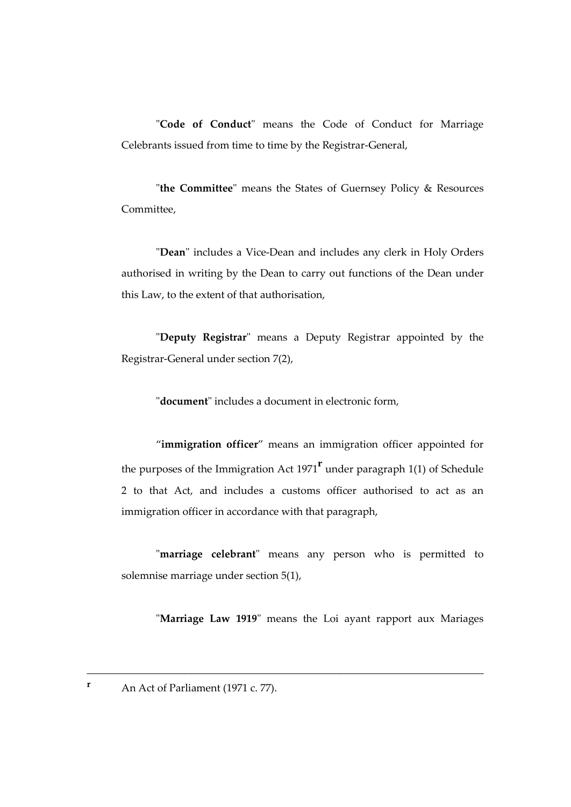"**Code of Conduct**" means the Code of Conduct for Marriage Celebrants issued from time to time by the Registrar-General,

"**the Committee**" means the States of Guernsey Policy & Resources Committee,

"**Dean**" includes a Vice-Dean and includes any clerk in Holy Orders authorised in writing by the Dean to carry out functions of the Dean under this Law, to the extent of that authorisation,

"**Deputy Registrar**" means a Deputy Registrar appointed by the Registrar-General under section 7(2),

"**document**" includes a document in electronic form,

"**immigration officer**" means an immigration officer appointed for the purposes of the Immigration Act 1971**<sup>r</sup>** under paragraph 1(1) of Schedule 2 to that Act, and includes a customs officer authorised to act as an immigration officer in accordance with that paragraph,

"**marriage celebrant**" means any person who is permitted to solemnise marriage under section 5(1),

\_\_\_\_\_\_\_\_\_\_\_\_\_\_\_\_\_\_\_\_\_\_\_\_\_\_\_\_\_\_\_\_\_\_\_\_\_\_\_\_\_\_\_\_\_\_\_\_\_\_\_\_\_\_\_\_\_\_\_\_\_\_\_\_\_\_\_\_\_

"**Marriage Law 1919**" means the Loi ayant rapport aux Mariages

**r** An Act of Parliament (1971 c. 77).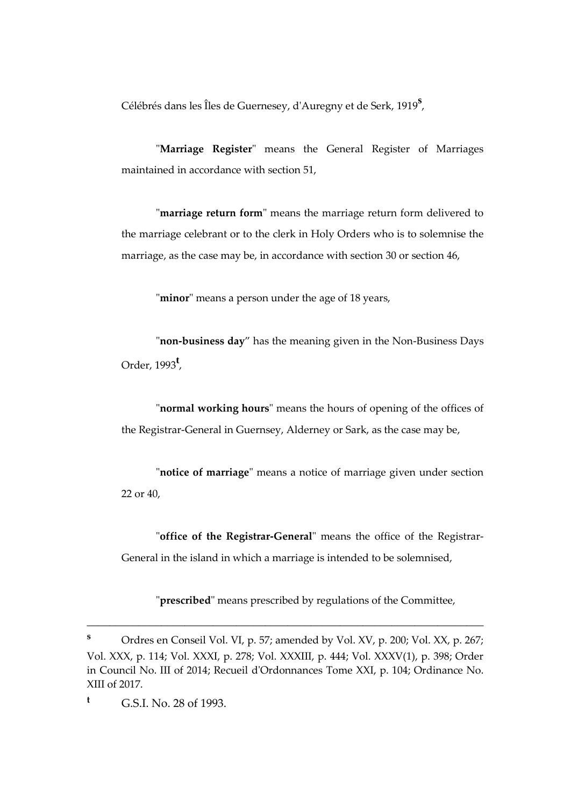Célébrés dans les Îles de Guernesey, d'Auregny et de Serk, 1919**<sup>s</sup>** ,

"**Marriage Register**" means the General Register of Marriages maintained in accordance with section 51,

"**marriage return form**" means the marriage return form delivered to the marriage celebrant or to the clerk in Holy Orders who is to solemnise the marriage, as the case may be, in accordance with section 30 or section 46,

"**minor**" means a person under the age of 18 years,

"**non-business day**" has the meaning given in the Non-Business Days Order, 1993**<sup>t</sup>** ,

"**normal working hours**" means the hours of opening of the offices of the Registrar-General in Guernsey, Alderney or Sark, as the case may be,

"**notice of marriage**" means a notice of marriage given under section 22 or 40,

"**office of the Registrar-General**" means the office of the Registrar-General in the island in which a marriage is intended to be solemnised,

"**prescribed**" means prescribed by regulations of the Committee,

**<sup>s</sup>** Ordres en Conseil Vol. VI, p. 57; amended by Vol. XV, p. 200; Vol. XX, p. 267; Vol. XXX, p. 114; Vol. XXXI, p. 278; Vol. XXXIII, p. 444; Vol. XXXV(1), p. 398; Order in Council No. III of 2014; Recueil d'Ordonnances Tome XXI, p. 104; Ordinance No. XIII of 2017.

**<sup>t</sup>** G.S.I. No. 28 of 1993.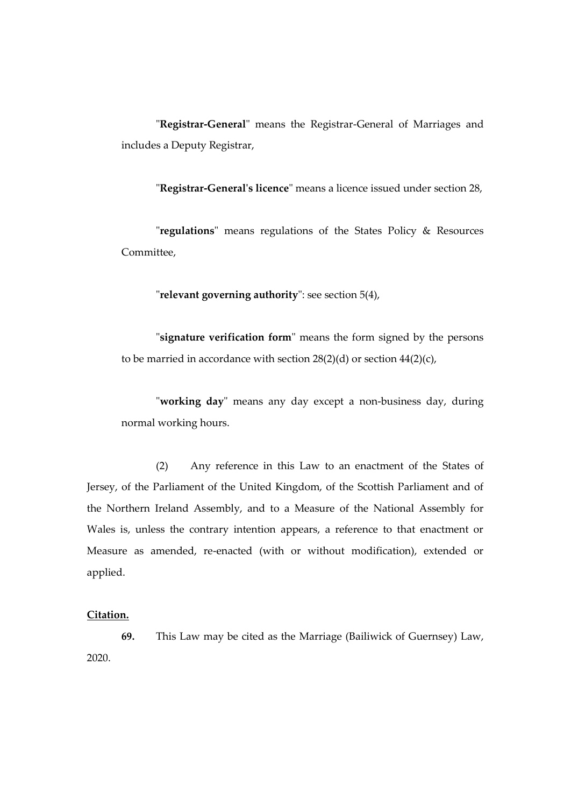"**Registrar-General**" means the Registrar-General of Marriages and includes a Deputy Registrar,

"**Registrar-General's licence**" means a licence issued under section 28,

"**regulations**" means regulations of the States Policy & Resources Committee,

"**relevant governing authority**": see section 5(4),

"**signature verification form**" means the form signed by the persons to be married in accordance with section 28(2)(d) or section 44(2)(c),

"**working day**" means any day except a non-business day, during normal working hours.

(2) Any reference in this Law to an enactment of the States of Jersey, of the Parliament of the United Kingdom, of the Scottish Parliament and of the Northern Ireland Assembly, and to a Measure of the National Assembly for Wales is, unless the contrary intention appears, a reference to that enactment or Measure as amended, re-enacted (with or without modification), extended or applied.

#### **Citation.**

**69.** This Law may be cited as the Marriage (Bailiwick of Guernsey) Law, 2020.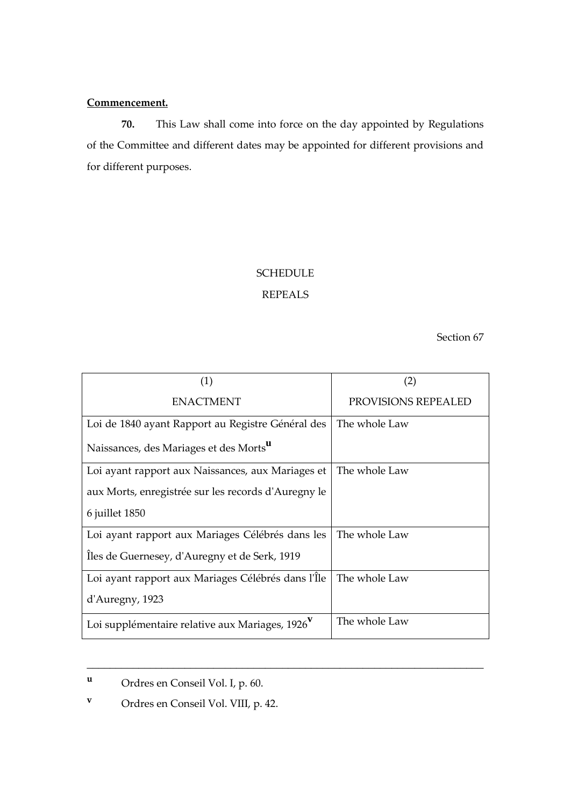### **Commencement.**

**70.** This Law shall come into force on the day appointed by Regulations of the Committee and different dates may be appointed for different provisions and for different purposes.

# SCHEDULE

## REPEALS

Section 67

| (1)                                                         | (2)                 |
|-------------------------------------------------------------|---------------------|
| <b>ENACTMENT</b>                                            | PROVISIONS REPEALED |
| Loi de 1840 ayant Rapport au Registre Général des           | The whole Law       |
| Naissances, des Mariages et des Morts <sup>u</sup>          |                     |
| Loi ayant rapport aux Naissances, aux Mariages et           | The whole Law       |
| aux Morts, enregistrée sur les records d'Auregny le         |                     |
| 6 juillet 1850                                              |                     |
| Loi ayant rapport aux Mariages Célébrés dans les            | The whole Law       |
| Iles de Guernesey, d'Auregny et de Serk, 1919               |                     |
| Loi ayant rapport aux Mariages Célébrés dans l'Île          | The whole Law       |
| d'Auregny, 1923                                             |                     |
| Loi supplémentaire relative aux Mariages, 1926 <sup>V</sup> | The whole Law       |

**<sup>u</sup>** Ordres en Conseil Vol. I, p. 60.

**<sup>v</sup>** Ordres en Conseil Vol. VIII, p. 42.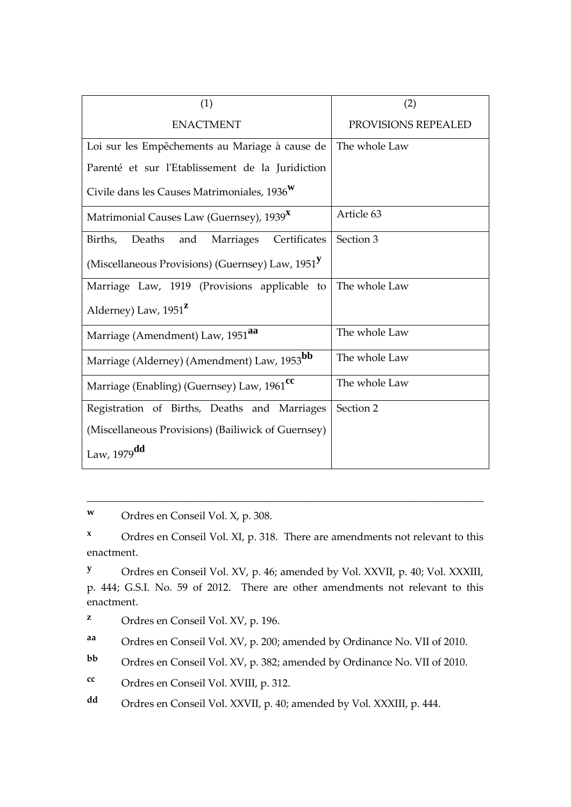| (1)                                                          | (2)                 |
|--------------------------------------------------------------|---------------------|
| <b>ENACTMENT</b>                                             | PROVISIONS REPEALED |
| Loi sur les Empêchements au Mariage à cause de               | The whole Law       |
| Parenté et sur l'Etablissement de la Juridiction             |                     |
| Civile dans les Causes Matrimoniales, 1936                   |                     |
| Matrimonial Causes Law (Guernsey), 1939 <sup>X</sup>         | Article 63          |
| Deaths<br>Marriages<br>Certificates<br>Births,<br>and        | Section 3           |
| (Miscellaneous Provisions) (Guernsey) Law, 1951 <sup>y</sup> |                     |
| Marriage Law, 1919 (Provisions applicable to                 | The whole Law       |
| Alderney) Law, 1951 <sup>2</sup>                             |                     |
| Marriage (Amendment) Law, 1951 <sup>aa</sup>                 | The whole Law       |
| Marriage (Alderney) (Amendment) Law, 1953bb                  | The whole Law       |
| Marriage (Enabling) (Guernsey) Law, 1961 <sup>cc</sup>       | The whole Law       |
| Registration of Births, Deaths and Marriages                 | Section 2           |
| (Miscellaneous Provisions) (Bailiwick of Guernsey)           |                     |
| Law, 1979dd                                                  |                     |

**<sup>w</sup>** Ordres en Conseil Vol. X, p. 308.

**<sup>x</sup>** Ordres en Conseil Vol. XI, p. 318. There are amendments not relevant to this enactment.

\_\_\_\_\_\_\_\_\_\_\_\_\_\_\_\_\_\_\_\_\_\_\_\_\_\_\_\_\_\_\_\_\_\_\_\_\_\_\_\_\_\_\_\_\_\_\_\_\_\_\_\_\_\_\_\_\_\_\_\_\_\_\_\_\_\_\_\_\_

**<sup>y</sup>** Ordres en Conseil Vol. XV, p. 46; amended by Vol. XXVII, p. 40; Vol. XXXIII, p. 444; G.S.I. No. 59 of 2012. There are other amendments not relevant to this enactment.

**aa** Ordres en Conseil Vol. XV, p. 200; amended by Ordinance No. VII of 2010.

**bb** Ordres en Conseil Vol. XV, p. 382; amended by Ordinance No. VII of 2010.

**cc** Ordres en Conseil Vol. XVIII, p. 312.

**dd** Ordres en Conseil Vol. XXVII, p. 40; amended by Vol. XXXIII, p. 444.

**<sup>z</sup>** Ordres en Conseil Vol. XV, p. 196.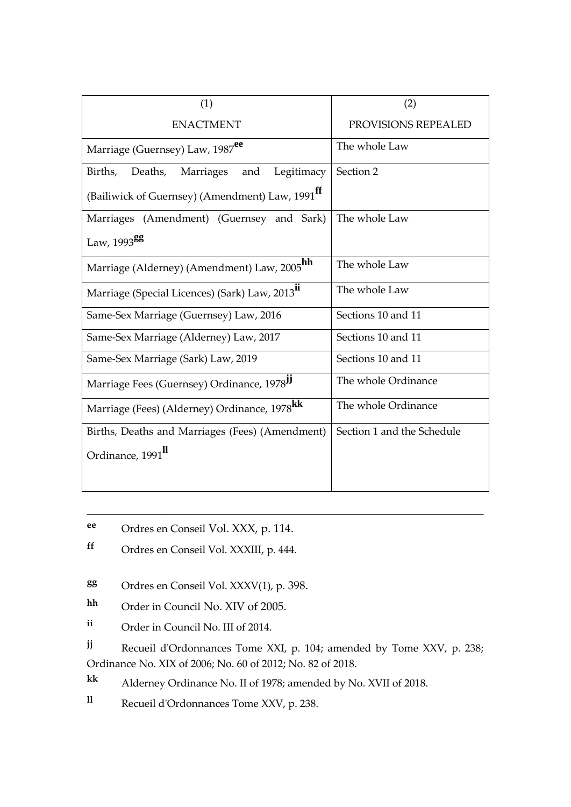| (1)                                                         | (2)                        |
|-------------------------------------------------------------|----------------------------|
| <b>ENACTMENT</b>                                            | PROVISIONS REPEALED        |
| Marriage (Guernsey) Law, 1987 <sup>ee</sup>                 | The whole Law              |
| Legitimacy<br>Deaths,<br>Births,<br>Marriages<br>and        | Section 2                  |
| (Bailiwick of Guernsey) (Amendment) Law, 1991 <sup>ff</sup> |                            |
| Marriages (Amendment) (Guernsey and Sark)                   | The whole Law              |
| Law, 1993 <sup>gg</sup>                                     |                            |
| Marriage (Alderney) (Amendment) Law, 2005 <sup>hh</sup>     | The whole Law              |
| Marriage (Special Licences) (Sark) Law, 2013 <sup>11</sup>  | The whole Law              |
| Same-Sex Marriage (Guernsey) Law, 2016                      | Sections 10 and 11         |
| Same-Sex Marriage (Alderney) Law, 2017                      | Sections 10 and 11         |
| Same-Sex Marriage (Sark) Law, 2019                          | Sections 10 and 11         |
| Marriage Fees (Guernsey) Ordinance, 1978 <sup>IJ</sup>      | The whole Ordinance        |
| Marriage (Fees) (Alderney) Ordinance, 1978 <sup>kk</sup>    | The whole Ordinance        |
| Births, Deaths and Marriages (Fees) (Amendment)             | Section 1 and the Schedule |
| Ordinance, 1991 <sup>II</sup>                               |                            |
|                                                             |                            |

- **ee** Ordres en Conseil Vol. XXX, p. 114.
- **ff** Ordres en Conseil Vol. XXXIII, p. 444.
- **gg** Ordres en Conseil Vol. XXXV(1), p. 398.
- **hh** Order in Council No. XIV of 2005.
- **ii** Order in Council No. III of 2014.

**jj** Recueil d'Ordonnances Tome XXI, p. 104; amended by Tome XXV, p. 238; Ordinance No. XIX of 2006; No. 60 of 2012; No. 82 of 2018.

\_\_\_\_\_\_\_\_\_\_\_\_\_\_\_\_\_\_\_\_\_\_\_\_\_\_\_\_\_\_\_\_\_\_\_\_\_\_\_\_\_\_\_\_\_\_\_\_\_\_\_\_\_\_\_\_\_\_\_\_\_\_\_\_\_\_\_\_\_

**kk** Alderney Ordinance No. II of 1978; amended by No. XVII of 2018.

**ll** Recueil d'Ordonnances Tome XXV, p. 238.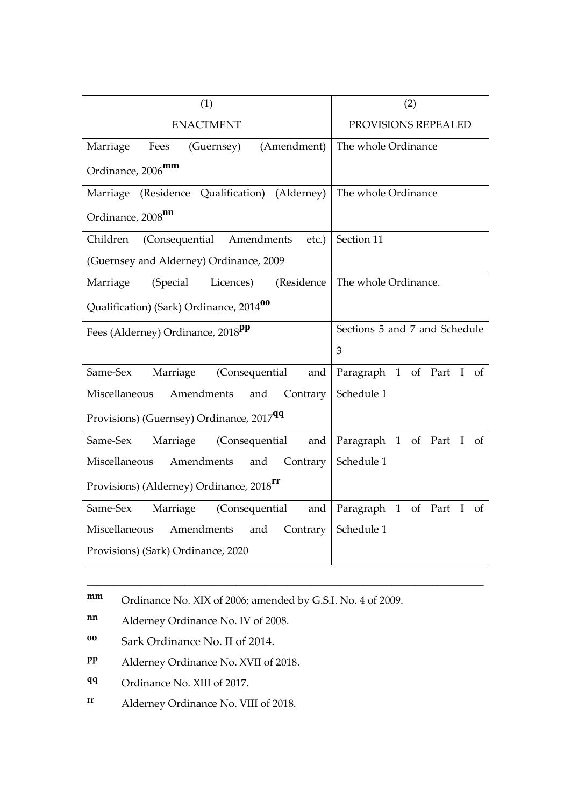| (1)                                                  | (2)                           |
|------------------------------------------------------|-------------------------------|
| <b>ENACTMENT</b>                                     | PROVISIONS REPEALED           |
| Marriage<br>Fees<br>(Guernsey) (Amendment)           | The whole Ordinance           |
| Ordinance, 2006 <sup>mm</sup>                        |                               |
| Marriage (Residence Qualification) (Alderney)        | The whole Ordinance           |
| Ordinance, 2008 <sup>nn</sup>                        |                               |
| (Consequential Amendments<br>Children<br>etc.)       | Section 11                    |
| (Guernsey and Alderney) Ordinance, 2009              |                               |
| (Special<br>(Residence<br>Marriage<br>Licences)      | The whole Ordinance.          |
| Qualification) (Sark) Ordinance, 2014 <sup>00</sup>  |                               |
| Fees (Alderney) Ordinance, 2018 <sup>pp</sup>        | Sections 5 and 7 and Schedule |
|                                                      | 3                             |
| Marriage (Consequential<br>Same-Sex<br>and           | Paragraph 1 of Part I of      |
| and Contrary<br>Miscellaneous Amendments             | Schedule 1                    |
| Provisions) (Guernsey) Ordinance, 2017 <sup>99</sup> |                               |
| Marriage (Consequential<br>Same-Sex<br>and           | Paragraph 1 of Part I of      |
| Miscellaneous<br>Amendments<br>and<br>Contrary       | Schedule 1                    |
| Provisions) (Alderney) Ordinance, 2018 <sup>rr</sup> |                               |
| Same-Sex<br>Marriage (Consequential<br>and           | Paragraph 1 of Part I of      |
| Miscellaneous Amendments and Contrary                | Schedule 1                    |
| Provisions) (Sark) Ordinance, 2020                   |                               |

**mm** Ordinance No. XIX of 2006; amended by G.S.I. No. 4 of 2009.

\_\_\_\_\_\_\_\_\_\_\_\_\_\_\_\_\_\_\_\_\_\_\_\_\_\_\_\_\_\_\_\_\_\_\_\_\_\_\_\_\_\_\_\_\_\_\_\_\_\_\_\_\_\_\_\_\_\_\_\_\_\_\_\_\_\_\_\_\_

**nn** Alderney Ordinance No. IV of 2008.

- **oo** Sark Ordinance No. II of 2014.
- **pp** Alderney Ordinance No. XVII of 2018.
- **qq** Ordinance No. XIII of 2017.
- **rr** Alderney Ordinance No. VIII of 2018.